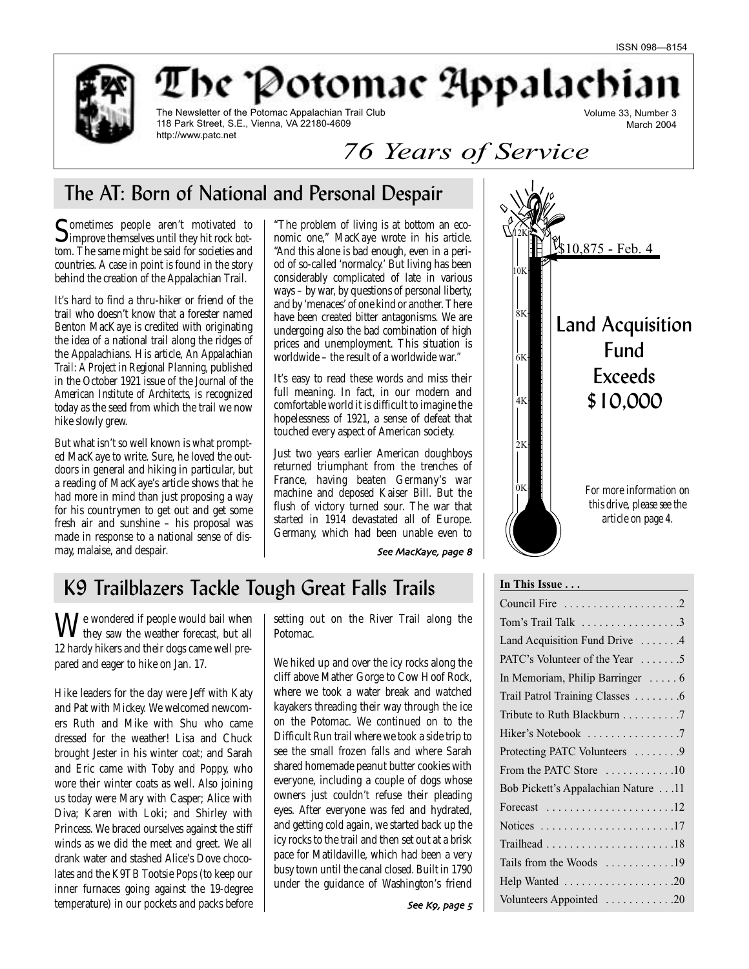March 2004



The Potomac Appalachia Volume 33, Number 3

The Newsletter of the Potomac Appalachian Trail Club 118 Park Street, S.E., Vienna, VA 22180-4609 http://www.patc.net

*76 Years of Service*

# The AT: Born of National and Personal Despair

Sometimes people aren't motivated to<br>improve themselves until they hit rock bottom. The same might be said for societies and countries. A case in point is found in the story behind the creation of the Appalachian Trail.

It's hard to find a thru-hiker or friend of the trail who doesn't know that a forester named Benton MacKaye is credited with originating the idea of a national trail along the ridges of the Appalachians. His article, *An Appalachian Trail: A Project in Regional Planning,* published in the October 1921 issue of the *Journal of the American Institute of Architects,* is recognized today as the seed from which the trail we now hike slowly grew.

But what isn't so well known is what prompted MacKaye to write. Sure, he loved the outdoors in general and hiking in particular, but a reading of MacKaye's article shows that he had more in mind than just proposing a way for his countrymen to get out and get some fresh air and sunshine – his proposal was made in response to a national sense of dismay, malaise, and despair.

"The problem of living is at bottom an economic one," MacKaye wrote in his article. "And this alone is bad enough, even in a period of so-called 'normalcy.' But living has been considerably complicated of late in various ways – by war, by questions of personal liberty, and by 'menaces' of one kind or another. There have been created bitter antagonisms. We are undergoing also the bad combination of high prices and unemployment. This situation is worldwide – the result of a worldwide war."

It's easy to read these words and miss their full meaning. In fact, in our modern and comfortable world it is difficult to imagine the hopelessness of 1921, a sense of defeat that touched every aspect of American society.

Just two years earlier American doughboys returned triumphant from the trenches of France, having beaten Germany's war machine and deposed Kaiser Bill. But the flush of victory turned sour. The war that started in 1914 devastated all of Europe. Germany, which had been unable even to

\$10,875 - Feb. 4  $2K$ 4K 6K 8K 0K Land Acquisition Fund Exceeds \$10,000 10K 12K *For more information on this drive, please see the article on page 4.*

See MacKaye, page 8

# K9 Trailblazers Tackle Tough Great Falls Trails

 $\mathbf{W}^{\text{e} }$  wondered if people would bail when **V** they saw the weather forecast, but all 12 hardy hikers and their dogs came well prepared and eager to hike on Jan. 17.

Hike leaders for the day were Jeff with Katy and Pat with Mickey. We welcomed newcomers Ruth and Mike with Shu who came dressed for the weather! Lisa and Chuck brought Jester in his winter coat; and Sarah and Eric came with Toby and Poppy, who wore their winter coats as well. Also joining us today were Mary with Casper; Alice with Diva; Karen with Loki; and Shirley with Princess. We braced ourselves against the stiff winds as we did the meet and greet. We all drank water and stashed Alice's Dove chocolates and the K9TB Tootsie Pops (to keep our inner furnaces going against the 19-degree temperature) in our pockets and packs before

setting out on the River Trail along the Potomac.

We hiked up and over the icy rocks along the cliff above Mather Gorge to Cow Hoof Rock, where we took a water break and watched kayakers threading their way through the ice on the Potomac. We continued on to the Difficult Run trail where we took a side trip to see the small frozen falls and where Sarah shared homemade peanut butter cookies with everyone, including a couple of dogs whose owners just couldn't refuse their pleading eyes. After everyone was fed and hydrated, and getting cold again, we started back up the icy rocks to the trail and then set out at a brisk pace for Matildaville, which had been a very busy town until the canal closed. Built in 1790 under the guidance of Washington's friend Council Fire . . . . . . . . . . . . . . . . . . . .2 Tom's Trail Talk . . . . . . . . . . . . . . . . .3 Land Acquisition Fund Drive . . . . . . . 4 PATC's Volunteer of the Year . . . . . . . 5 In Memoriam, Philip Barringer . . . . . 6 Trail Patrol Training Classes . . . . . . . .6 Tribute to Ruth Blackburn . . . . . . . . . 7 Hiker's Notebook . . . . . . . . . . . . . . . 7 Protecting PATC Volunteers . . . . . . . . 9 From the PATC Store . . . . . . . . . . . .10 Bob Pickett's Appalachian Nature . . .11 Forecast . . . . . . . . . . . . . . . . . . . . . .12 Notices . . . . . . . . . . . . . . . . . . . . . . .17 Trailhead . . . . . . . . . . . . . . . . . . . . . .18 Tails from the Woods . . . . . . . . . . . .19 Help Wanted . . . . . . . . . . . . . . . . . . .20 Volunteers Appointed . . . . . . . . . . . .20

**In This Issue . . .**

See Kg, page 5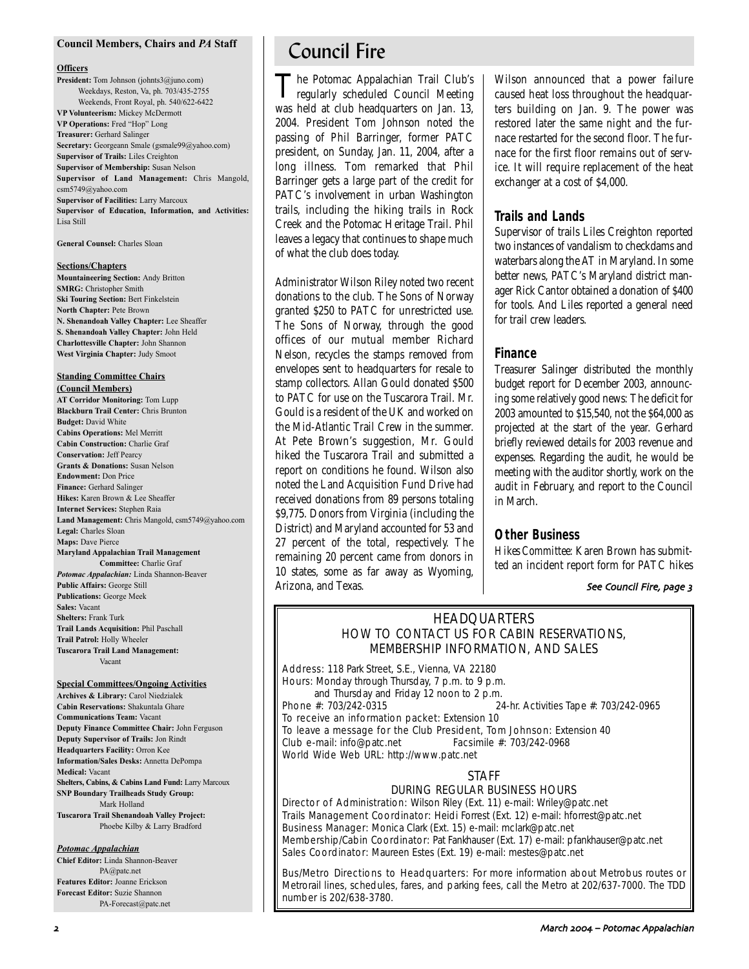#### **Council Members, Chairs and** *PA* **Staff**

#### **Officers**

**President:** Tom Johnson (johnts3@juno.com) Weekdays, Reston, Va, ph. 703/435-2755 Weekends, Front Royal, ph. 540/622-6422 **VP Volunteerism:** Mickey McDermott **VP Operations:** Fred "Hop" Long **Treasurer:** Gerhard Salinger **Secretary:** Georgeann Smale (gsmale99@yahoo.com) **Supervisor of Trails:** Liles Creighton **Supervisor of Membership:** Susan Nelson **Supervisor of Land Management:** Chris Mangold, csm5749@yahoo.com **Supervisor of Facilities:** Larry Marcoux **Supervisor of Education, Information, and Activities:** Lisa Still

**General Counsel:** Charles Sloan

#### **Sections/Chapters**

**Mountaineering Section:** Andy Britton **SMRG:** Christopher Smith **Ski Touring Section:** Bert Finkelstein **North Chapter:** Pete Brown **N. Shenandoah Valley Chapter:** Lee Sheaffer **S. Shenandoah Valley Chapter:** John Held **Charlottesville Chapter:** John Shannon **West Virginia Chapter:** Judy Smoot

## **Standing Committee Chairs**

**(Council Members) AT Corridor Monitoring:** Tom Lupp **Blackburn Trail Center:** Chris Brunton **Budget:** David White **Cabins Operations:** Mel Merritt **Cabin Construction:** Charlie Graf **Conservation:** Jeff Pearcy **Grants & Donations:** Susan Nelson **Endowment:** Don Price **Finance:** Gerhard Salinger **Hikes:** Karen Brown & Lee Sheaffer **Internet Services:** Stephen Raia **Land Management:** Chris Mangold, csm5749@yahoo.com **Legal:** Charles Sloan **Maps:** Dave Pierce **Maryland Appalachian Trail Management Committee:** Charlie Graf *Potomac Appalachian:* Linda Shannon-Beaver **Public Affairs:** George Still **Publications:** George Meek **Sales:** Vacant **Shelters:** Frank Turk **Trail Lands Acquisition:** Phil Paschall **Trail Patrol:** Holly Wheeler

**Tuscarora Trail Land Management:** Vacant

#### **Special Committees/Ongoing Activities**

**Archives & Library:** Carol Niedzialek **Cabin Reservations:** Shakuntala Ghare **Communications Team:** Vacant **Deputy Finance Committee Chair:** John Ferguson **Deputy Supervisor of Trails:** Jon Rindt **Headquarters Facility:** Orron Kee **Information/Sales Desks:** Annetta DePompa **Medical:** Vacant **Shelters, Cabins, & Cabins Land Fund:** Larry Marcoux **SNP Boundary Trailheads Study Group:** Mark Holland

**Tuscarora Trail Shenandoah Valley Project:** Phoebe Kilby & Larry Bradford

#### *Potomac Appalachian*

**Chief Editor:** Linda Shannon-Beaver PA@patc.net **Features Editor:** Joanne Erickson **Forecast Editor:** Suzie Shannon PA-Forecast@patc.net

# Council Fire

The Potomac Appalachian Trail Club's regularly scheduled Council Meeting was held at club headquarters on Jan. 13, 2004. President Tom Johnson noted the passing of Phil Barringer, former PATC president, on Sunday, Jan. 11, 2004, after a long illness. Tom remarked that Phil Barringer gets a large part of the credit for PATC's involvement in urban Washington trails, including the hiking trails in Rock Creek and the Potomac Heritage Trail. Phil leaves a legacy that continues to shape much of what the club does today.

Administrator Wilson Riley noted two recent donations to the club. The Sons of Norway granted \$250 to PATC for unrestricted use. The Sons of Norway, through the good offices of our mutual member Richard Nelson, recycles the stamps removed from envelopes sent to headquarters for resale to stamp collectors. Allan Gould donated \$500 to PATC for use on the Tuscarora Trail. Mr. Gould is a resident of the UK and worked on the Mid-Atlantic Trail Crew in the summer. At Pete Brown's suggestion, Mr. Gould hiked the Tuscarora Trail and submitted a report on conditions he found. Wilson also noted the Land Acquisition Fund Drive had received donations from 89 persons totaling \$9,775. Donors from Virginia (including the District) and Maryland accounted for 53 and 27 percent of the total, respectively. The remaining 20 percent came from donors in 10 states, some as far away as Wyoming, Arizona, and Texas.

Wilson announced that a power failure caused heat loss throughout the headquarters building on Jan. 9. The power was restored later the same night and the furnace restarted for the second floor. The furnace for the first floor remains out of service. It will require replacement of the heat exchanger at a cost of \$4,000.

### **Trails and Lands**

Supervisor of trails Liles Creighton reported two instances of vandalism to checkdams and waterbars along the AT in Maryland. In some better news, PATC's Maryland district manager Rick Cantor obtained a donation of \$400 for tools. And Liles reported a general need for trail crew leaders.

### **Finance**

Treasurer Salinger distributed the monthly budget report for December 2003, announcing some relatively good news: The deficit for 2003 amounted to \$15,540, not the \$64,000 as projected at the start of the year. Gerhard briefly reviewed details for 2003 revenue and expenses. Regarding the audit, he would be meeting with the auditor shortly, work on the audit in February, and report to the Council in March.

### **Other Business**

*Hikes Committee:* Karen Brown has submitted an incident report form for PATC hikes

#### See Council Fire, page 3

# HEADQUARTERS HOW TO CONTACT US FOR CABIN RESERVATIONS, MEMBERSHIP INFORMATION, AND SALES

Address: 118 Park Street, S.E., Vienna, VA 22180 Hours: Monday through Thursday, 7 p.m. to 9 p.m.

and Thursday and Friday 12 noon to 2 p.m.<br>Phone  $\#$ : 703/242-0315 24-hr. Activities Tape #: 703/242-0965

To receive an information packet: Extension 10 To leave a message for the Club President, Tom Johnson: Extension 40 Club e-mail: info@patc.net Facsimile #: 703/242-0968 World Wide Web URL: http://www.patc.net

### STAFF

### DURING REGULAR BUSINESS HOURS

Director of Administration: Wilson Riley (Ext. 11) e-mail: Wriley@patc.net Trails Management Coordinator: Heidi Forrest (Ext. 12) e-mail: hforrest@patc.net Business Manager: Monica Clark (Ext. 15) e-mail: mclark@patc.net Membership/Cabin Coordinator: Pat Fankhauser (Ext. 17) e-mail: pfankhauser@patc.net Sales Coordinator: Maureen Estes (Ext. 19) e-mail: mestes@patc.net

Bus/Metro Directions to Headquarters: For more information about Metrobus routes or Metrorail lines, schedules, fares, and parking fees, call the Metro at 202/637-7000. The TDD number is 202/638-3780.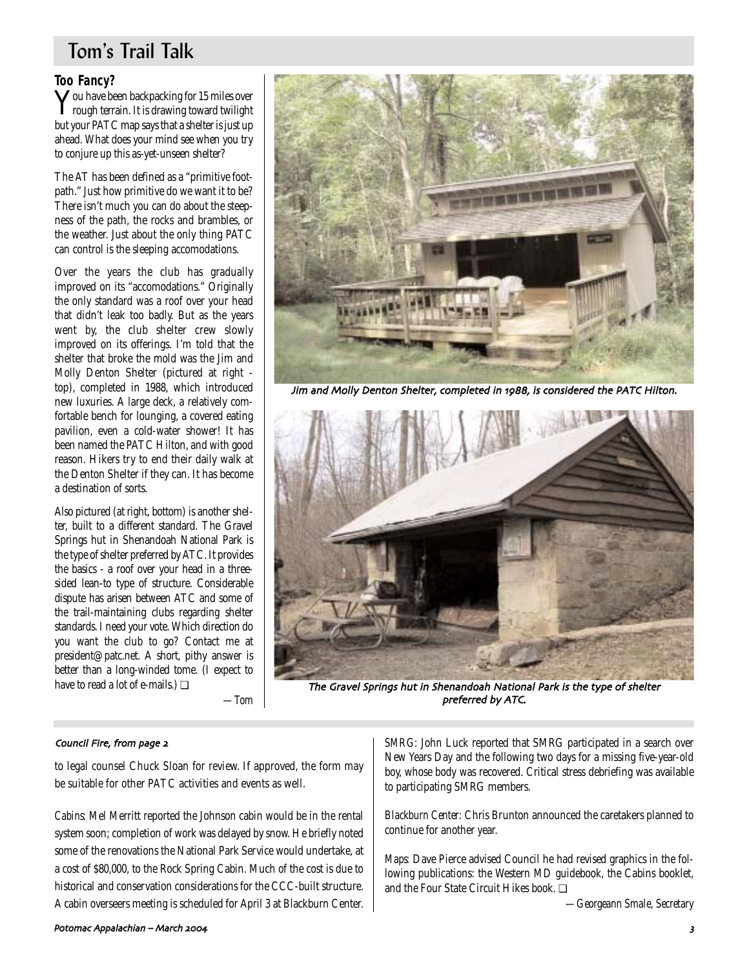# Tom's Trail Talk

# **Too Fancy?**

**Y**ou have been backpacking for 15 miles over<br>rough terrain. It is drawing toward twilight but your PATC map says that a shelter is just up ahead. What does your mind see when you try to conjure up this as-yet-unseen shelter?

The AT has been defined as a "primitive footpath." Just how primitive do we want it to be? There isn't much you can do about the steepness of the path, the rocks and brambles, or the weather. Just about the only thing PATC can control is the sleeping accomodations.

Over the years the club has gradually improved on its "accomodations." Originally the only standard was a roof over your head that didn't leak too badly. But as the years went by, the club shelter crew slowly improved on its offerings. I'm told that the shelter that broke the mold was the Jim and Molly Denton Shelter (pictured at right top), completed in 1988, which introduced new luxuries. A large deck, a relatively comfortable bench for lounging, a covered eating pavilion, even a cold-water shower! It has been named the PATC Hilton, and with good reason. Hikers try to end their daily walk at the Denton Shelter if they can. It has become a destination of sorts.

Also pictured (at right, bottom) is another shelter, built to a different standard. The Gravel Springs hut in Shenandoah National Park is the type of shelter preferred by ATC. It provides the basics - a roof over your head in a threesided lean-to type of structure. Considerable dispute has arisen between ATC and some of the trail-maintaining clubs regarding shelter standards. I need your vote. Which direction do you want the club to go? Contact me at president@patc.net. A short, pithy answer is better than a long-winded tome. (I expect to have to read a lot of e-mails.) ❏

*—Tom*



Jim and Molly Denton Shelter, completed in 1988, is considered the PATC Hilton.



The Gravel Springs hut in Shenandoah National Park is the type of shelter preferred by ATC.

### Council Fire, from page 2

to legal counsel Chuck Sloan for review. If approved, the form may be suitable for other PATC activities and events as well.

*Cabins:* Mel Merritt reported the Johnson cabin would be in the rental system soon; completion of work was delayed by snow. He briefly noted some of the renovations the National Park Service would undertake, at a cost of \$80,000, to the Rock Spring Cabin. Much of the cost is due to historical and conservation considerations for the CCC-built structure. A cabin overseers meeting is scheduled for April 3 at Blackburn Center.

*SMRG:* John Luck reported that SMRG participated in a search over New Years Day and the following two days for a missing five-year-old boy, whose body was recovered. Critical stress debriefing was available to participating SMRG members.

*Blackburn Center:* Chris Brunton announced the caretakers planned to continue for another year.

*Maps:* Dave Pierce advised Council he had revised graphics in the following publications: the Western MD guidebook, the Cabins booklet, and the Four State Circuit Hikes book. ❏

*—Georgeann Smale, Secretary*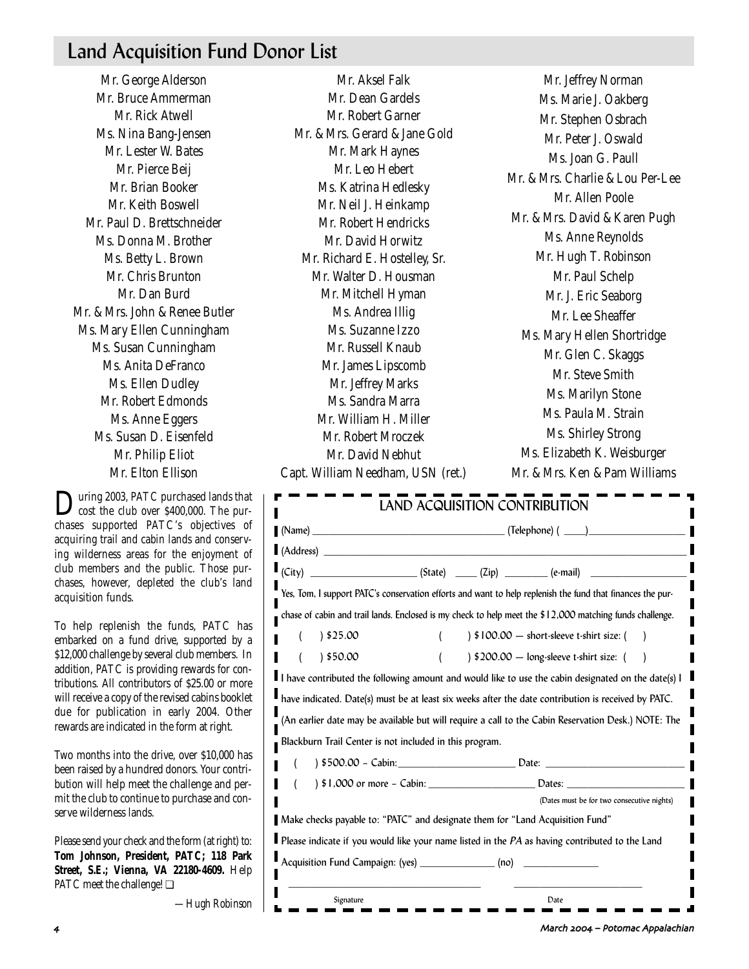# Land Acquisition Fund Donor List

Mr. George Alderson Mr. Bruce Ammerman Mr. Rick Atwell Ms. Nina Bang-Jensen Mr. Lester W. Bates Mr. Pierce Beij Mr. Brian Booker Mr. Keith Boswell Mr. Paul D. Brettschneider Ms. Donna M. Brother Ms. Betty L. Brown Mr. Chris Brunton Mr. Dan Burd Mr. & Mrs. John & Renee Butler Ms. Mary Ellen Cunningham Ms. Susan Cunningham Ms. Anita DeFranco Ms. Ellen Dudley Mr. Robert Edmonds Ms. Anne Eggers Ms. Susan D. Eisenfeld Mr. Philip Eliot Mr. Elton Ellison

During 2003, PATC purchased lands that<br>cost the club over \$400,000. The purchases supported PATC's objectives of acquiring trail and cabin lands and conserving wilderness areas for the enjoyment of club members and the public. Those purchases, however, depleted the club's land acquisition funds.

To help replenish the funds, PATC has embarked on a fund drive, supported by a \$12,000 challenge by several club members. In addition, PATC is providing rewards for contributions. All contributors of \$25.00 or more will receive a copy of the revised cabins booklet due for publication in early 2004. Other rewards are indicated in the form at right.

Two months into the drive, over \$10,000 has been raised by a hundred donors. Your contribution will help meet the challenge and permit the club to continue to purchase and conserve wilderness lands.

Please send your check and the form (at right) to: **Tom Johnson, President, PATC; 118 Park Street, S.E.; Vienna, VA 22180-4609.** Help PATC meet the challenge! ❏

*—Hugh Robinson*

Mr. Dean Gardels Mr. Robert Garner Mr. & Mrs. Gerard & Jane Gold Mr. Mark Haynes Mr. Leo Hebert Ms. Katrina Hedlesky Mr. Neil J. Heinkamp Mr. Robert Hendricks Mr. David Horwitz Mr. Richard E. Hostelley, Sr. Mr. Walter D. Housman Mr. Mitchell Hyman Ms. Andrea Illig Ms. Suzanne Izzo Mr. Russell Knaub Mr. James Lipscomb Mr. Jeffrey Marks Ms. Sandra Marra Mr. William H. Miller Mr. Robert Mroczek Mr. David Nebhut Capt. William Needham, USN (ret.)

Mr. Aksel Falk

Mr. Jeffrey Norman Ms. Marie J. Oakberg Mr. Stephen Osbrach Mr. Peter J. Oswald Ms. Joan G. Paull Mr. & Mrs. Charlie & Lou Per-Lee Mr. Allen Poole Mr. & Mrs. David & Karen Pugh Ms. Anne Reynolds Mr. Hugh T. Robinson Mr. Paul Schelp Mr. J. Eric Seaborg Mr. Lee Sheaffer Ms. Mary Hellen Shortridge Mr. Glen C. Skaggs Mr. Steve Smith Ms. Marilyn Stone Ms. Paula M. Strain Ms. Shirley Strong Ms. Elizabeth K. Weisburger Mr. & Mrs. Ken & Pam Williams

|                                                                               |  |  | $(City)$ $(City)$ $(State)$ $(Zip)$ $(Zip)$ $(e-mail)$                                                                                                                                                                         |
|-------------------------------------------------------------------------------|--|--|--------------------------------------------------------------------------------------------------------------------------------------------------------------------------------------------------------------------------------|
|                                                                               |  |  | Yes, Tom, I support PATC's conservation efforts and want to help replenish the fund that finances the pur-                                                                                                                     |
|                                                                               |  |  | chase of cabin and trail lands. Enclosed is my check to help meet the \$12,000 matching funds challenge.                                                                                                                       |
| 525.00 \                                                                      |  |  | $\frac{1}{2}$ \$100.00 - short-sleeve t-shirt size: (                                                                                                                                                                          |
| 350.00                                                                        |  |  | $\frac{1}{2}$ \$200.00 - long-sleeve t-shirt size: (                                                                                                                                                                           |
|                                                                               |  |  | I have contributed the following amount and would like to use the cabin designated on the date(s) I                                                                                                                            |
|                                                                               |  |  | have indicated. Date(s) must be at least six weeks after the date contribution is received by PATC.                                                                                                                            |
|                                                                               |  |  | (An earlier date may be available but will require a call to the Cabin Reservation Desk.) NOTE: The                                                                                                                            |
| Blackburn Trail Center is not included in this program.                       |  |  |                                                                                                                                                                                                                                |
|                                                                               |  |  | $500.00 - Cabin$ : Date: $Date$                                                                                                                                                                                                |
|                                                                               |  |  | Dates: North Contract of the Contract of the Contract of the Contract of the Contract of the Contract of the Contract of the Contract of the Contract of the Contract of the Contract of the Contract of the Contract of the C |
|                                                                               |  |  | (Dates must be for two consecutive nights)                                                                                                                                                                                     |
| Make checks payable to: "PATC" and designate them for "Land Acquisition Fund" |  |  |                                                                                                                                                                                                                                |
|                                                                               |  |  | Please indicate if you would like your name listed in the PA as having contributed to the Land                                                                                                                                 |
|                                                                               |  |  |                                                                                                                                                                                                                                |

March – Potomac Appalachian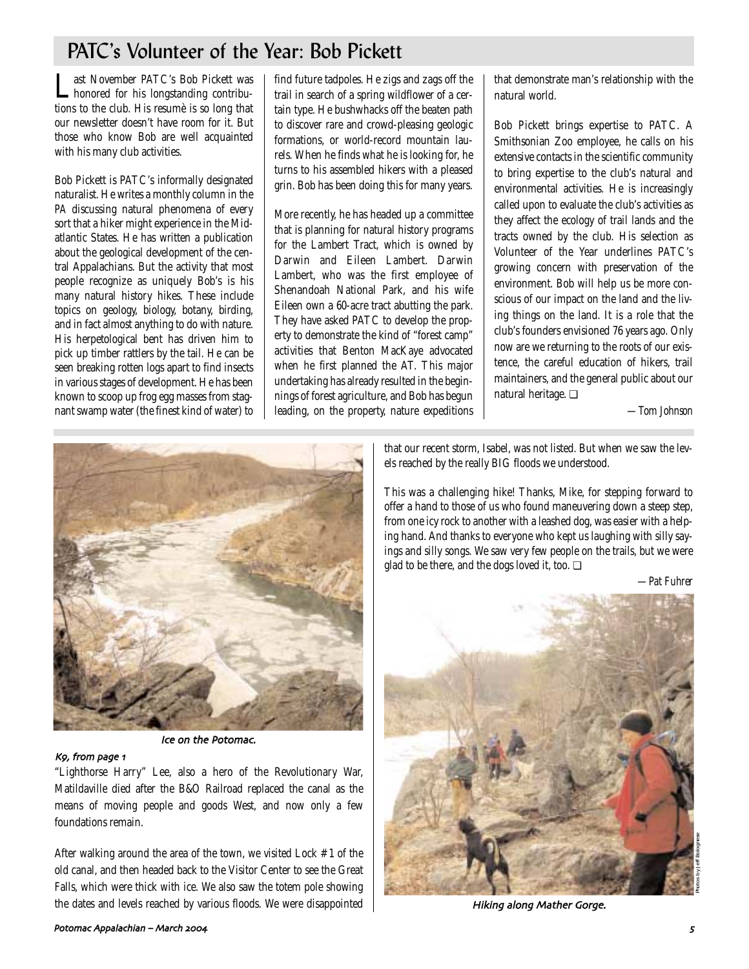# PATC's Volunteer of the Year: Bob Pickett

Last November PATC's Bob Pickett was<br>honored for his longstanding contributions to the club. His resumè is so long that our newsletter doesn't have room for it. But those who know Bob are well acquainted with his many club activities.

Bob Pickett is PATC's informally designated naturalist. He writes a monthly column in the *PA* discussing natural phenomena of every sort that a hiker might experience in the Midatlantic States. He has written a publication about the geological development of the central Appalachians. But the activity that most people recognize as uniquely Bob's is his many natural history hikes. These include topics on geology, biology, botany, birding, and in fact almost anything to do with nature. His herpetological bent has driven him to pick up timber rattlers by the tail. He can be seen breaking rotten logs apart to find insects in various stages of development. He has been known to scoop up frog egg masses from stagnant swamp water (the finest kind of water) to

find future tadpoles. He zigs and zags off the trail in search of a spring wildflower of a certain type. He bushwhacks off the beaten path to discover rare and crowd-pleasing geologic formations, or world-record mountain laurels. When he finds what he is looking for, he turns to his assembled hikers with a pleased grin. Bob has been doing this for many years.

More recently, he has headed up a committee that is planning for natural history programs for the Lambert Tract, which is owned by Darwin and Eileen Lambert. Darwin Lambert, who was the first employee of Shenandoah National Park, and his wife Eileen own a 60-acre tract abutting the park. They have asked PATC to develop the property to demonstrate the kind of "forest camp" activities that Benton MacKaye advocated when he first planned the AT. This major undertaking has already resulted in the beginnings of forest agriculture, and Bob has begun leading, on the property, nature expeditions that demonstrate man's relationship with the natural world.

Bob Pickett brings expertise to PATC. A Smithsonian Zoo employee, he calls on his extensive contacts in the scientific community to bring expertise to the club's natural and environmental activities. He is increasingly called upon to evaluate the club's activities as they affect the ecology of trail lands and the tracts owned by the club. His selection as Volunteer of the Year underlines PATC's growing concern with preservation of the environment. Bob will help us be more conscious of our impact on the land and the living things on the land. It is a role that the club's founders envisioned 76 years ago. Only now are we returning to the roots of our existence, the careful education of hikers, trail maintainers, and the general public about our natural heritage. ❏

*—Tom Johnson*



Ice on the Potomac.

### Kg, from page 1

"Lighthorse Harry" Lee, also a hero of the Revolutionary War, Matildaville died after the B&O Railroad replaced the canal as the means of moving people and goods West, and now only a few foundations remain.

After walking around the area of the town, we visited Lock #1 of the old canal, and then headed back to the Visitor Center to see the Great Falls, which were thick with ice. We also saw the totem pole showing the dates and levels reached by various floods. We were disappointed

that our recent storm, Isabel, was not listed. But when we saw the levels reached by the really BIG floods we understood.

This was a challenging hike! Thanks, Mike, for stepping forward to offer a hand to those of us who found maneuvering down a steep step, from one icy rock to another with a leashed dog, was easier with a helping hand. And thanks to everyone who kept us laughing with silly sayings and silly songs. We saw very few people on the trails, but we were glad to be there, and the dogs loved it, too. □

*—Pat Fuhrer*



Hiking along Mather Gorge)

#### Potomac Appalachian – March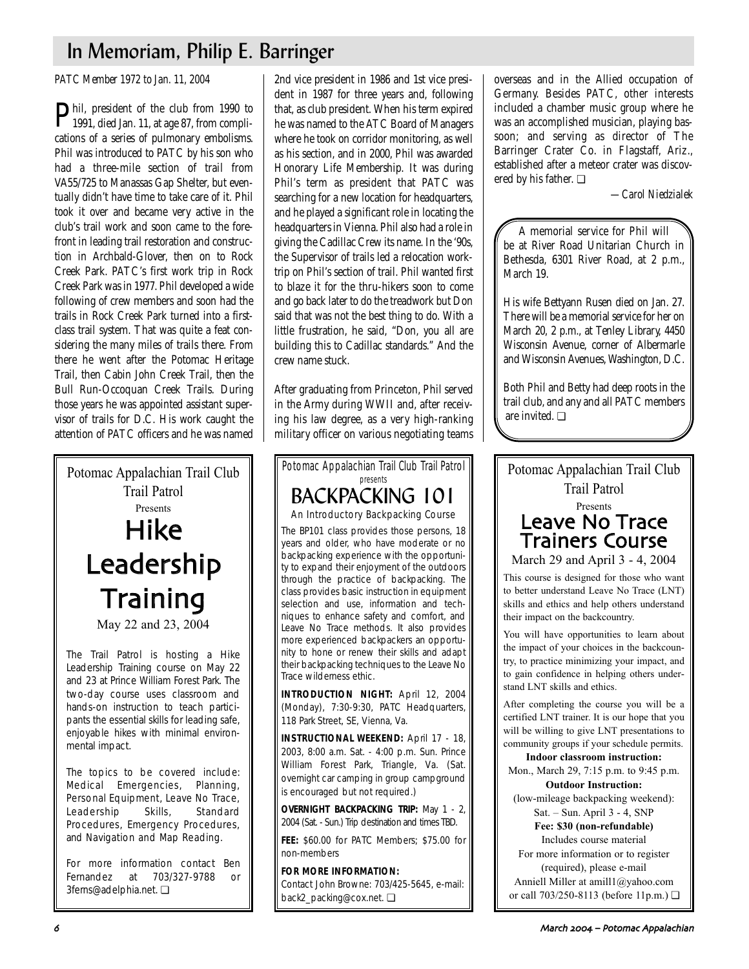# In Memoriam, Philip E. Barringer

*PATC Member 1972 to Jan. 11, 2004*

Phil, president of the club from 1990 to 1991, died Jan. 11, at age 87, from complications of a series of pulmonary embolisms. Phil was introduced to PATC by his son who had a three-mile section of trail from VA55/725 to Manassas Gap Shelter, but eventually didn't have time to take care of it. Phil took it over and became very active in the club's trail work and soon came to the forefront in leading trail restoration and construction in Archbald-Glover, then on to Rock Creek Park. PATC's first work trip in Rock Creek Park was in 1977. Phil developed a wide following of crew members and soon had the trails in Rock Creek Park turned into a firstclass trail system. That was quite a feat considering the many miles of trails there. From there he went after the Potomac Heritage Trail, then Cabin John Creek Trail, then the Bull Run-Occoquan Creek Trails. During those years he was appointed assistant supervisor of trails for D.C. His work caught the attention of PATC officers and he was named

Potomac Appalachian Trail Club Trail Patrol Presents Hike Leadership **Training** May 22 and 23, 2004

The Trail Patrol is hosting a Hike Leadership Training course on May 22 and 23 at Prince William Forest Park. The two-day course uses classroom and hands-on instruction to teach participants the essential skills for leading safe, enjoyable hikes with minimal environmental impact.

The topics to be covered include: Medical Emergencies, Planning, Personal Equipment, Leave No Trace, Leadership Skills, Standard Procedures, Emergency Procedures, and Navigation and Map Reading.

For more information contact Ben Fernandez at 703/327-9788 or 3ferns@adelphia.net. ❏

2nd vice president in 1986 and 1st vice president in 1987 for three years and, following that, as club president. When his term expired he was named to the ATC Board of Managers where he took on corridor monitoring, as well as his section, and in 2000, Phil was awarded Honorary Life Membership. It was during Phil's term as president that PATC was searching for a new location for headquarters, and he played a significant role in locating the headquarters in Vienna. Phil also had a role in giving the Cadillac Crew its name. In the '90s, the Supervisor of trails led a relocation worktrip on Phil's section of trail. Phil wanted first to blaze it for the thru-hikers soon to come and go back later to do the treadwork but Don said that was not the best thing to do. With a little frustration, he said, "Don, you all are building this to Cadillac standards." And the crew name stuck.

After graduating from Princeton, Phil served in the Army during WWII and, after receiving his law degree, as a very high-ranking military officer on various negotiating teams

Potomac Appalachian Trail Club Trail Patrol presents BACKPACKING 101 An Introductory Backpacking Course The BP101 class provides those persons, 18 years and older, who have moderate or no backpacking experience with the opportunity to expand their enjoyment of the outdoors through the practice of backpacking. The class provides basic instruction in equipment selection and use, information and techniques to enhance safety and comfort, and Leave No Trace methods. It also provides more experienced backpackers an opportunity to hone or renew their skills and adapt their backpacking techniques to the Leave No Trace wilderness ethic. **INTRODUCTION NIGHT:** April 12, 2004 (Monday), 7:30-9:30, PATC Headquarters, 118 Park Street, SE, Vienna, Va.

**INSTRUCTIONAL WEEKEND:** April 17 - 18, 2003, 8:00 a.m. Sat. - 4:00 p.m. Sun. Prince William Forest Park, Triangle, Va. (Sat. overnight car camping in group campground is encouraged but not required.)

**OVERNIGHT BACKPACKING TRIP:** May 1 - 2, 2004 (Sat. - Sun.) Trip destination and times TBD.

**FEE:** \$60.00 for PATC Members; \$75.00 for non-members

**FOR MORE INFORMATION:** Contact John Browne: 703/425-5645, e-mail: back2\_packing@cox.net. ❏

overseas and in the Allied occupation of Germany. Besides PATC, other interests included a chamber music group where he was an accomplished musician, playing bassoon; and serving as director of The Barringer Crater Co. in Flagstaff, Ariz., established after a meteor crater was discovered by his father. ❏

*—Carol Niedzialek*

A memorial service for Phil will be at River Road Unitarian Church in Bethesda, 6301 River Road, at 2 p.m., March 19.

His wife Bettyann Rusen died on Jan. 27. There will be a memorial service for her on March 20, 2 p.m., at Tenley Library, 4450 Wisconsin Avenue, corner of Albermarle and Wisconsin Avenues, Washington, D.C.

Both Phil and Betty had deep roots in the trail club, and any and all PATC members are invited. ❏

Potomac Appalachian Trail Club Trail Patrol Presents Leave No Trace Trainers Course

March 29 and April 3 - 4, 2004

This course is designed for those who want to better understand Leave No Trace (LNT) skills and ethics and help others understand their impact on the backcountry.

You will have opportunities to learn about the impact of your choices in the backcountry, to practice minimizing your impact, and to gain confidence in helping others understand LNT skills and ethics.

After completing the course you will be a certified LNT trainer. It is our hope that you will be willing to give LNT presentations to community groups if your schedule permits.

**Indoor classroom instruction:** Mon., March 29, 7:15 p.m. to 9:45 p.m.

**Outdoor Instruction:** (low-mileage backpacking weekend):

Sat. – Sun. April 3 - 4, SNP **Fee: \$30 (non-refundable)**

Includes course material

For more information or to register (required), please e-mail Anniell Miller at amill1@yahoo.com or call 703/250-8113 (before 11p.m.) ❏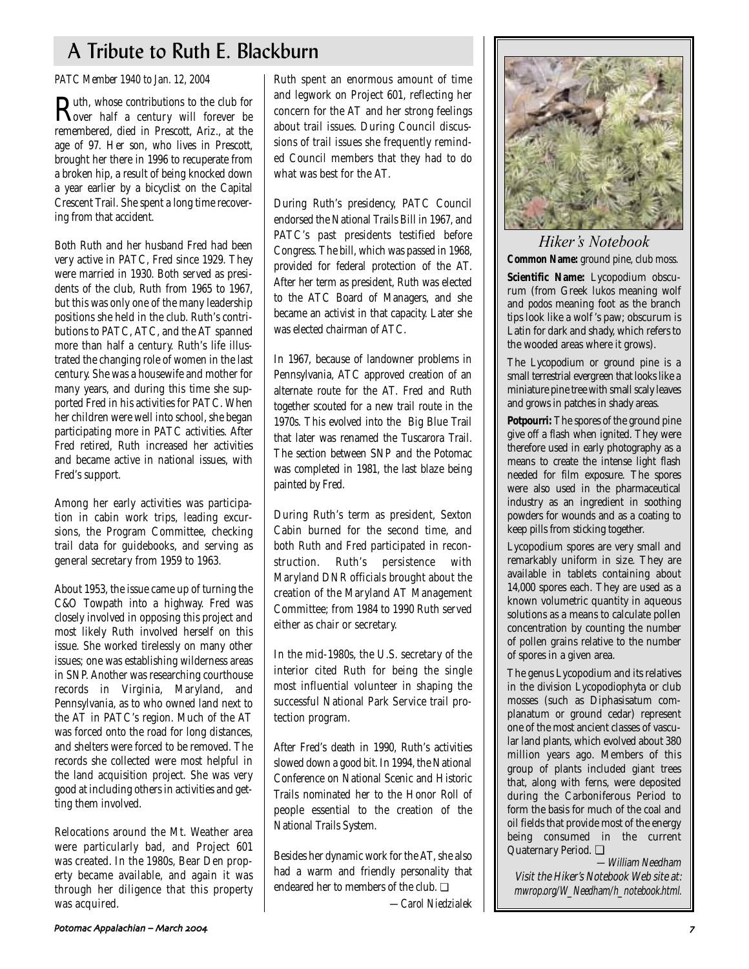# A Tribute to Ruth E. Blackburn

### *PATC Member 1940 to Jan. 12, 2004*

**Ruth, whose contributions to the club for**<br> **Rover** half a century will forever be remembered, died in Prescott, Ariz., at the age of 97. Her son, who lives in Prescott, brought her there in 1996 to recuperate from a broken hip, a result of being knocked down a year earlier by a bicyclist on the Capital Crescent Trail. She spent a long time recovering from that accident.

Both Ruth and her husband Fred had been very active in PATC, Fred since 1929. They were married in 1930. Both served as presidents of the club, Ruth from 1965 to 1967, but this was only one of the many leadership positions she held in the club. Ruth's contributions to PATC, ATC, and the AT spanned more than half a century. Ruth's life illustrated the changing role of women in the last century. She was a housewife and mother for many years, and during this time she supported Fred in his activities for PATC. When her children were well into school, she began participating more in PATC activities. After Fred retired, Ruth increased her activities and became active in national issues, with Fred's support.

Among her early activities was participation in cabin work trips, leading excursions, the Program Committee, checking trail data for guidebooks, and serving as general secretary from 1959 to 1963.

About 1953, the issue came up of turning the C&O Towpath into a highway. Fred was closely involved in opposing this project and most likely Ruth involved herself on this issue. She worked tirelessly on many other issues; one was establishing wilderness areas in SNP. Another was researching courthouse records in Virginia, Maryland, and Pennsylvania, as to who owned land next to the AT in PATC's region. Much of the AT was forced onto the road for long distances, and shelters were forced to be removed. The records she collected were most helpful in the land acquisition project. She was very good at including others in activities and getting them involved.

Relocations around the Mt. Weather area were particularly bad, and Project 601 was created. In the 1980s, Bear Den property became available, and again it was through her diligence that this property was acquired.

Ruth spent an enormous amount of time and legwork on Project 601, reflecting her concern for the AT and her strong feelings about trail issues. During Council discussions of trail issues she frequently reminded Council members that they had to do what was best for the AT.

During Ruth's presidency, PATC Council endorsed the National Trails Bill in 1967, and PATC's past presidents testified before Congress. The bill, which was passed in 1968, provided for federal protection of the AT. After her term as president, Ruth was elected to the ATC Board of Managers, and she became an activist in that capacity. Later she was elected chairman of ATC.

In 1967, because of landowner problems in Pennsylvania, ATC approved creation of an alternate route for the AT. Fred and Ruth together scouted for a new trail route in the 1970s. This evolved into the Big Blue Trail that later was renamed the Tuscarora Trail. The section between SNP and the Potomac was completed in 1981, the last blaze being painted by Fred.

During Ruth's term as president, Sexton Cabin burned for the second time, and both Ruth and Fred participated in reconstruction. Ruth's persistence with Maryland DNR officials brought about the creation of the Maryland AT Management Committee; from 1984 to 1990 Ruth served either as chair or secretary.

In the mid-1980s, the U.S. secretary of the interior cited Ruth for being the single most influential volunteer in shaping the successful National Park Service trail protection program.

After Fred's death in 1990, Ruth's activities slowed down a good bit. In 1994, the National Conference on National Scenic and Historic Trails nominated her to the Honor Roll of people essential to the creation of the National Trails System.

Besides her dynamic work for the AT, she also had a warm and friendly personality that endeared her to members of the club. ❏



*Hiker's Notebook* **Common Name:** ground pine, club moss. **Scientific Name:** Lycopodium obscu-

rum (from Greek *lukos* meaning wolf and *podos* meaning foot as the branch tips look like a wolf 's paw; obscurum is Latin for dark and shady, which refers to the wooded areas where it grows).

The Lycopodium or ground pine is a small terrestrial evergreen that looks like a miniature pine tree with small scaly leaves and grows in patches in shady areas.

**Potpourri:** The spores of the ground pine give off a flash when ignited. They were therefore used in early photography as a means to create the intense light flash needed for film exposure. The spores were also used in the pharmaceutical industry as an ingredient in soothing powders for wounds and as a coating to keep pills from sticking together.

Lycopodium spores are very small and remarkably uniform in size. They are available in tablets containing about 14,000 spores each. They are used as a known volumetric quantity in aqueous solutions as a means to calculate pollen concentration by counting the number of pollen grains relative to the number of spores in a given area.

The genus Lycopodium and its relatives in the division Lycopodiophyta or club mosses (such as Diphasisatum complanatum or ground cedar) represent one of the most ancient classes of vascular land plants, which evolved about 380 million years ago. Members of this group of plants included giant trees that, along with ferns, were deposited during the Carboniferous Period to form the basis for much of the coal and oil fields that provide most of the energy being consumed in the current Quaternary Period. ❏

—William Needham Visit the Hiker's Notebook Web site at: mwrop.org/W\_Needham/h\_notebook.html.

*—Carol Niedzialek*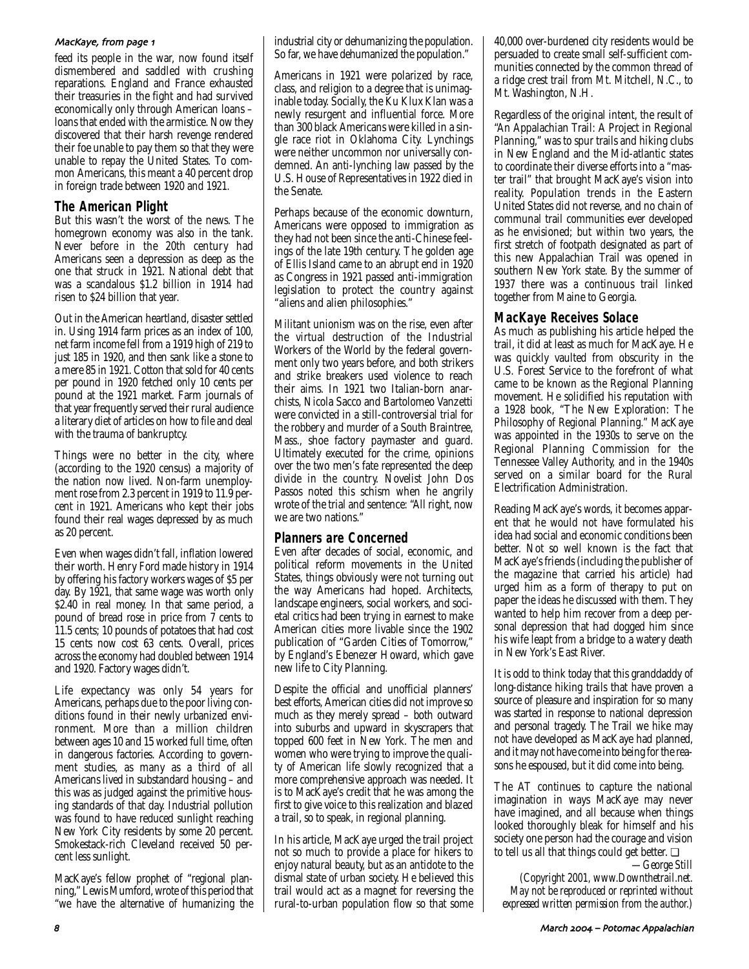### MacKaye, from page 1

feed its people in the war, now found itself dismembered and saddled with crushing reparations. England and France exhausted their treasuries in the fight and had survived economically only through American loans – loans that ended with the armistice. Now they discovered that their harsh revenge rendered their foe unable to pay them so that they were unable to repay the United States. To common Americans, this meant a 40 percent drop in foreign trade between 1920 and 1921.

# **The American Plight**

But this wasn't the worst of the news. The homegrown economy was also in the tank. Never before in the 20th century had Americans seen a depression as deep as the one that struck in 1921. National debt that was a scandalous \$1.2 billion in 1914 had risen to \$24 billion that year.

Out in the American heartland, disaster settled in. Using 1914 farm prices as an index of 100, net farm income fell from a 1919 high of 219 to just 185 in 1920, and then sank like a stone to a mere 85 in 1921. Cotton that sold for 40 cents per pound in 1920 fetched only 10 cents per pound at the 1921 market. Farm journals of that year frequently served their rural audience a literary diet of articles on how to file and deal with the trauma of bankruptcy.

Things were no better in the city, where (according to the 1920 census) a majority of the nation now lived. Non-farm unemployment rose from 2.3 percent in 1919 to 11.9 percent in 1921. Americans who kept their jobs found their real wages depressed by as much as 20 percent.

Even when wages didn't fall, inflation lowered their worth. Henry Ford made history in 1914 by offering his factory workers wages of \$5 per day. By 1921, that same wage was worth only \$2.40 in real money. In that same period, a pound of bread rose in price from 7 cents to 11.5 cents; 10 pounds of potatoes that had cost 15 cents now cost 63 cents. Overall, prices across the economy had doubled between 1914 and 1920. Factory wages didn't.

Life expectancy was only 54 years for Americans, perhaps due to the poor living conditions found in their newly urbanized environment. More than a million children between ages 10 and 15 worked full time, often in dangerous factories. According to government studies, as many as a third of all Americans lived in substandard housing – and this was as judged against the primitive housing standards of that day. Industrial pollution was found to have reduced sunlight reaching New York City residents by some 20 percent. Smokestack-rich Cleveland received 50 percent less sunlight.

MacKaye's fellow prophet of "regional planning," Lewis Mumford, wrote of this period that "we have the alternative of humanizing the

industrial city or dehumanizing the population. So far, we have dehumanized the population."

Americans in 1921 were polarized by race, class, and religion to a degree that is unimaginable today. Socially, the Ku Klux Klan was a newly resurgent and influential force. More than 300 black Americans were killed in a single race riot in Oklahoma City. Lynchings were neither uncommon nor universally condemned. An anti-lynching law passed by the U.S. House of Representatives in 1922 died in the Senate.

Perhaps because of the economic downturn, Americans were opposed to immigration as they had not been since the anti-Chinese feelings of the late 19th century. The golden age of Ellis Island came to an abrupt end in 1920 as Congress in 1921 passed anti-immigration legislation to protect the country against "aliens and alien philosophies."

Militant unionism was on the rise, even after the virtual destruction of the Industrial Workers of the World by the federal government only two years before, and both strikers and strike breakers used violence to reach their aims. In 1921 two Italian-born anarchists, Nicola Sacco and Bartolomeo Vanzetti were convicted in a still-controversial trial for the robbery and murder of a South Braintree, Mass., shoe factory paymaster and guard. Ultimately executed for the crime, opinions over the two men's fate represented the deep divide in the country. Novelist John Dos Passos noted this schism when he angrily wrote of the trial and sentence: "All right, now we are two nations."

# **Planners are Concerned**

Even after decades of social, economic, and political reform movements in the United States, things obviously were not turning out the way Americans had hoped. Architects, landscape engineers, social workers, and societal critics had been trying in earnest to make American cities more livable since the 1902 publication of "Garden Cities of Tomorrow," by England's Ebenezer Howard, which gave new life to City Planning.

Despite the official and unofficial planners' best efforts, American cities did not improve so much as they merely spread – both outward into suburbs and upward in skyscrapers that topped 600 feet in New York. The men and women who were trying to improve the quality of American life slowly recognized that a more comprehensive approach was needed. It is to MacKaye's credit that he was among the first to give voice to this realization and blazed a trail, so to speak, in regional planning.

In his article, MacKaye urged the trail project not so much to provide a place for hikers to enjoy natural beauty, but as an antidote to the dismal state of urban society. He believed this trail would act as a magnet for reversing the rural-to-urban population flow so that some 40,000 over-burdened city residents would be persuaded to create small self-sufficient communities connected by the common thread of a ridge crest trail from Mt. Mitchell, N.C., to Mt. Washington, N.H.

Regardless of the original intent, the result of "An Appalachian Trail: A Project in Regional Planning," was to spur trails and hiking clubs in New England and the Mid-atlantic states to coordinate their diverse efforts into a "master trail" that brought MacKaye's vision into reality. Population trends in the Eastern United States did not reverse, and no chain of communal trail communities ever developed as he envisioned; but within two years, the first stretch of footpath designated as part of this new Appalachian Trail was opened in southern New York state. By the summer of 1937 there was a continuous trail linked together from Maine to Georgia.

# **MacKaye Receives Solace**

As much as publishing his article helped the trail, it did at least as much for MacKaye. He was quickly vaulted from obscurity in the U.S. Forest Service to the forefront of what came to be known as the Regional Planning movement. He solidified his reputation with a 1928 book, "The New Exploration: The Philosophy of Regional Planning." MacKaye was appointed in the 1930s to serve on the Regional Planning Commission for the Tennessee Valley Authority, and in the 1940s served on a similar board for the Rural Electrification Administration.

Reading MacKaye's words, it becomes apparent that he would not have formulated his idea had social and economic conditions been better. Not so well known is the fact that MacKaye's friends (including the publisher of the magazine that carried his article) had urged him as a form of therapy to put on paper the ideas he discussed with them. They wanted to help him recover from a deep personal depression that had dogged him since his wife leapt from a bridge to a watery death in New York's East River.

It is odd to think today that this granddaddy of long-distance hiking trails that have proven a source of pleasure and inspiration for so many was started in response to national depression and personal tragedy. The Trail we hike may not have developed as MacKaye had planned, and it may not have come into being for the reasons he espoused, but it did come into being.

The AT continues to capture the national imagination in ways MacKaye may never have imagined, and all because when things looked thoroughly bleak for himself and his society one person had the courage and vision to tell us all that things could get better. ❏

*—George Still (Copyright 2001, www.Downthetrail.net. May not be reproduced or reprinted without expressed written permission from the author.)*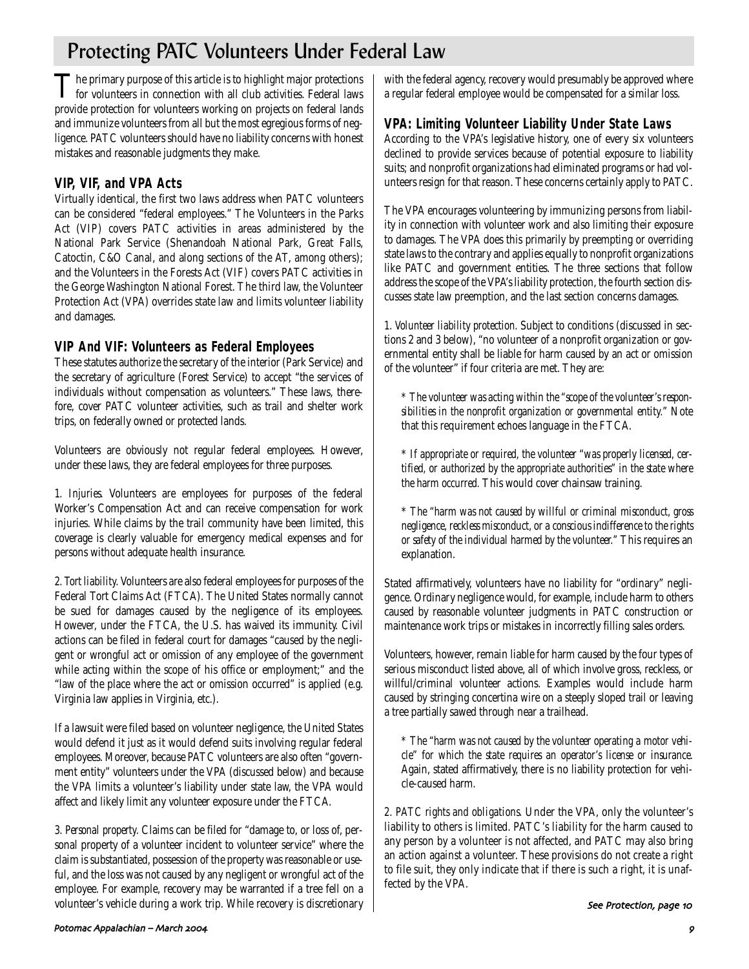# Protecting PATC Volunteers Under Federal Law

The primary purpose of this article is to highlight major protections<br>for volunteers in connection with all club activities. Federal laws provide protection for volunteers working on projects on federal lands and immunize volunteers from all but the most egregious forms of negligence. PATC volunteers should have no liability concerns with honest mistakes and reasonable judgments they make.

# **VIP, VIF, and VPA Acts**

Virtually identical, the first two laws address when PATC volunteers can be considered "federal employees." The Volunteers in the Parks Act (VIP) covers PATC activities in areas administered by the National Park Service (Shenandoah National Park, Great Falls, Catoctin, C&O Canal, and along sections of the AT, among others); and the Volunteers in the Forests Act (VIF) covers PATC activities in the George Washington National Forest. The third law, the Volunteer Protection Act (VPA) overrides state law and limits volunteer liability and damages.

# **VIP And VIF: Volunteers as Federal Employees**

These statutes authorize the secretary of the interior (Park Service) and the secretary of agriculture (Forest Service) to accept "the services of individuals without compensation as volunteers." These laws, therefore, cover PATC volunteer activities, such as trail and shelter work trips, on federally owned or protected lands.

Volunteers are obviously not regular federal employees. However, under these laws, they are federal employees for three purposes.

*1. Injuries.* Volunteers are employees for purposes of the federal Worker's Compensation Act and can receive compensation for work injuries. While claims by the trail community have been limited, this coverage is clearly valuable for emergency medical expenses and for persons without adequate health insurance.

*2. Tort liability.* Volunteers are also federal employees for purposes of the Federal Tort Claims Act (FTCA). The United States normally cannot be sued for damages caused by the negligence of its employees. However, under the FTCA, the U.S. has waived its immunity. Civil actions can be filed in federal court for damages "caused by the negligent or wrongful act or omission of any employee of the government while acting within the scope of his office or employment;" and the "law of the place where the act or omission occurred" is applied (e.g. Virginia law applies in Virginia, etc.).

If a lawsuit were filed based on volunteer negligence, the United States would defend it just as it would defend suits involving regular federal employees. Moreover, because PATC volunteers are also often "government entity" volunteers under the VPA (discussed below) and because the VPA limits a volunteer's liability under state law, the VPA would affect and likely limit any volunteer exposure under the FTCA.

*3. Personal property.* Claims can be filed for "damage to, or loss of, personal property of a volunteer incident to volunteer service" where the claim is substantiated, possession of the property was reasonable or useful, and the loss was not caused by any negligent or wrongful act of the employee. For example, recovery may be warranted if a tree fell on a volunteer's vehicle during a work trip. While recovery is discretionary with the federal agency, recovery would presumably be approved where a regular federal employee would be compensated for a similar loss.

# **VPA: Limiting Volunteer Liability Under State Laws**

According to the VPA's legislative history, one of every six volunteers declined to provide services because of potential exposure to liability suits; and nonprofit organizations had eliminated programs or had volunteers resign for that reason. These concerns certainly apply to PATC.

The VPA encourages volunteering by immunizing persons from liability in connection with volunteer work and also limiting their exposure to damages. The VPA does this primarily by preempting or overriding state laws to the contrary and applies equally to nonprofit organizations like PATC and government entities. The three sections that follow address the scope of the VPA's liability protection, the fourth section discusses state law preemption, and the last section concerns damages.

*1. Volunteer liability protection.* Subject to conditions (discussed in sections 2 and 3 below), "no volunteer of a nonprofit organization or governmental entity shall be liable for harm caused by an act or omission of the volunteer" if four criteria are met. They are:

*\* The volunteer was acting within the "scope of the volunteer's responsibilities in the nonprofit organization or governmental entity."* Note that this requirement echoes language in the FTCA.

\* *If appropriate or required, the volunteer "was properly licensed, certified, or authorized by the appropriate authorities" in the state where the harm occurred.* This would cover chainsaw training.

\* *The "harm was not caused by willful or criminal misconduct, gross negligence, reckless misconduct, or a conscious indifference to the rights or safety of the individual harmed by the volunteer."* This requires an explanation.

Stated affirmatively, volunteers have no liability for "ordinary" negligence. Ordinary negligence would, for example, include harm to others caused by reasonable volunteer judgments in PATC construction or maintenance work trips or mistakes in incorrectly filling sales orders.

Volunteers, however, remain liable for harm caused by the four types of serious misconduct listed above, all of which involve gross, reckless, or willful/criminal volunteer actions. Examples would include harm caused by stringing concertina wire on a steeply sloped trail or leaving a tree partially sawed through near a trailhead.

*\* The "harm was not caused by the volunteer operating a motor vehicle" for which the state requires an operator's license or insurance.* Again, stated affirmatively, there is no liability protection for vehicle-caused harm.

*2. PATC rights and obligations.* Under the VPA, only the volunteer's liability to others is limited. PATC's liability for the harm caused to any person by a volunteer is not affected, and PATC may also bring an action against a volunteer. These provisions do not create a right to file suit, they only indicate that if there is such a right, it is unaffected by the VPA.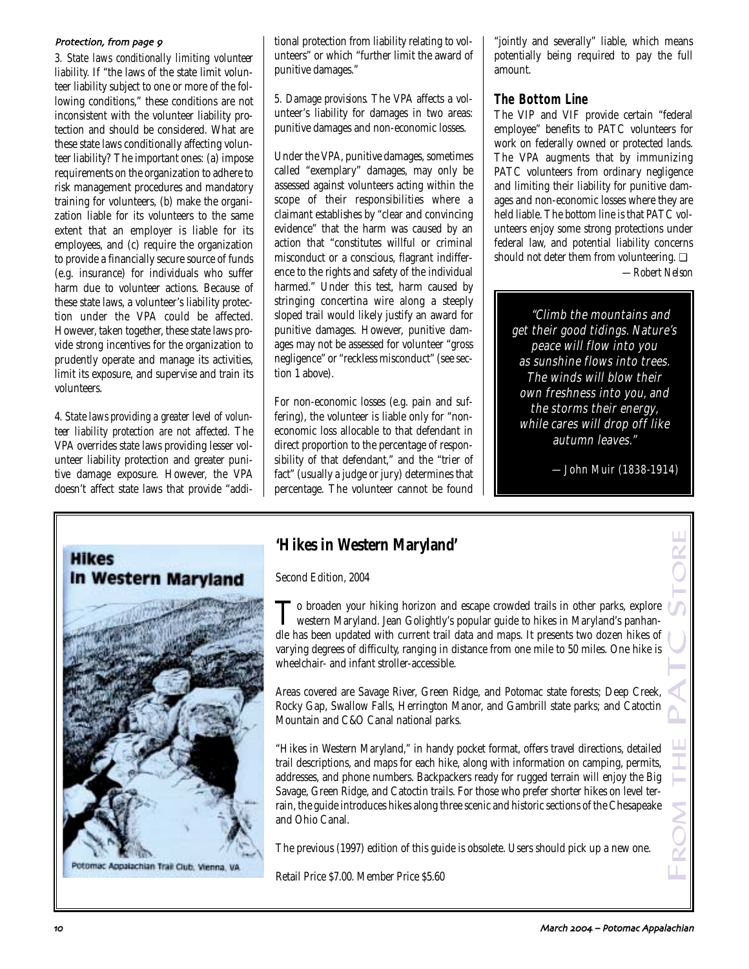### Protection, from page 9

*3. State laws conditionally limiting volunteer liability.* If "the laws of the state limit volunteer liability subject to one or more of the following conditions," these conditions are not inconsistent with the volunteer liability protection and should be considered. What are these state laws conditionally affecting volunteer liability? The important ones: (a) impose requirements on the organization to adhere to risk management procedures and mandatory training for volunteers, (b) make the organization liable for its volunteers to the same extent that an employer is liable for its employees, and (c) require the organization to provide a financially secure source of funds (e.g. insurance) for individuals who suffer harm due to volunteer actions. Because of these state laws, a volunteer's liability protection under the VPA could be affected. However, taken together, these state laws provide strong incentives for the organization to prudently operate and manage its activities, limit its exposure, and supervise and train its volunteers.

4*. State laws providing a greater level of volunteer liability protection are not affected.* The VPA overrides state laws providing lesser volunteer liability protection and greater punitive damage exposure. However, the VPA doesn't affect state laws that provide "addi-



Potomac Appalachian Trail Club, Vienna, VA

tional protection from liability relating to volunteers" or which "further limit the award of punitive damages."

*5. Damage provisions.* The VPA affects a volunteer's liability for damages in two areas: punitive damages and non-economic losses.

Under the VPA, punitive damages, sometimes called "exemplary" damages, may only be assessed against volunteers acting within the scope of their responsibilities where a claimant establishes by "clear and convincing evidence" that the harm was caused by an action that "constitutes willful or criminal misconduct or a conscious, flagrant indifference to the rights and safety of the individual harmed." Under this test, harm caused by stringing concertina wire along a steeply sloped trail would likely justify an award for punitive damages. However, punitive damages may not be assessed for volunteer "gross negligence" or "reckless misconduct" (see section 1 above).

For non-economic losses (e.g. pain and suffering), the volunteer is liable only for "noneconomic loss allocable to that defendant in direct proportion to the percentage of responsibility of that defendant," and the "trier of fact" (usually a judge or jury) determines that percentage. The volunteer cannot be found

"jointly and severally" liable, which means potentially being required to pay the full amount.

# **The Bottom Line**

The VIP and VIF provide certain "federal employee" benefits to PATC volunteers for work on federally owned or protected lands. The VPA augments that by immunizing PATC volunteers from ordinary negligence and limiting their liability for punitive damages and non-economic losses where they are held liable. The bottom line is that PATC volunteers enjoy some strong protections under federal law, and potential liability concerns should not deter them from volunteering. ❏ *—Robert Nelson*

"Climb the mountains and get their good tidings. Nature's peace will flow into you as sunshine flows into trees. The winds will blow their own freshness into you, and the storms their energy, while cares will drop off like autumn leaves."

—John Muir (1838-1914)

# **'Hikes in Western Maryland'**

Second Edition, 2004

To broaden your hiking horizon and escape crowded trails in other parks, explore<br>western Maryland. Jean Golightly's popular guide to hikes in Maryland's panhandle has been updated with current trail data and maps. It presents two dozen hikes of varying degrees of difficulty, ranging in distance from one mile to 50 miles. One hike is wheelchair- and infant stroller-accessible.

Areas covered are Savage River, Green Ridge, and Potomac state forests; Deep Creek, Rocky Gap, Swallow Falls, Herrington Manor, and Gambrill state parks; and Catoctin Mountain and C&O Canal national parks.

"Hikes in Western Maryland," in handy pocket format, offers travel directions, detailed trail descriptions, and maps for each hike, along with information on camping, permits, addresses, and phone numbers. Backpackers ready for rugged terrain will enjoy the Big Savage, Green Ridge, and Catoctin trails. For those who prefer shorter hikes on level terrain, the guide introduces hikes along three scenic and historic sections of the Chesapeake and Ohio Canal. Trices in Western Maryland'<br>
Second Edition, 2004<br>
To broaden your hiking horizon and escape crowded trails in other parks, explore<br>
To western Maryland. Iean Golightly's popular guide to hikes in Maryland's panhan-<br>
dle h

The previous (1997) edition of this guide is obsolete. Users should pick up a new one.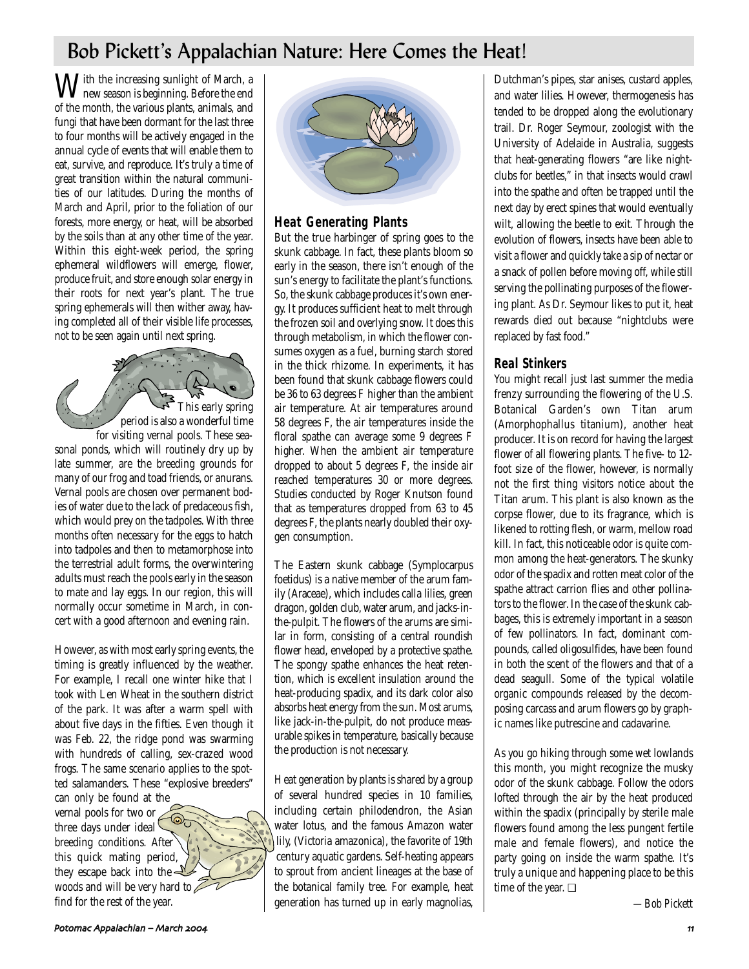# Bob Pickett's Appalachian Nature: Here Comes the Heat!

With the increasing sunlight of March, a new season is beginning. Before the end of the month, the various plants, animals, and fungi that have been dormant for the last three to four months will be actively engaged in the annual cycle of events that will enable them to eat, survive, and reproduce. It's truly a time of great transition within the natural communities of our latitudes. During the months of March and April, prior to the foliation of our forests, more energy, or heat, will be absorbed by the soils than at any other time of the year. Within this eight-week period, the spring ephemeral wildflowers will emerge, flower, produce fruit, and store enough solar energy in their roots for next year's plant. The true spring ephemerals will then wither away, having completed all of their visible life processes, not to be seen again until next spring.

This early spring period is also a wonderful time for visiting vernal pools. These seasonal ponds, which will routinely dry up by late summer, are the breeding grounds for many of our frog and toad friends, or anurans. Vernal pools are chosen over permanent bodies of water due to the lack of predaceous fish, which would prey on the tadpoles. With three months often necessary for the eggs to hatch into tadpoles and then to metamorphose into the terrestrial adult forms, the overwintering adults must reach the pools early in the season to mate and lay eggs. In our region, this will normally occur sometime in March, in concert with a good afternoon and evening rain.

However, as with most early spring events, the timing is greatly influenced by the weather. For example, I recall one winter hike that I took with Len Wheat in the southern district of the park. It was after a warm spell with about five days in the fifties. Even though it was Feb. 22, the ridge pond was swarming with hundreds of calling, sex-crazed wood frogs. The same scenario applies to the spotted salamanders. These "explosive breeders"

can only be found at the vernal pools for two or  $\overline{\odot}$ three days under ideal breeding conditions. After this quick mating period, they escape back into the  $\triangle$ woods and will be very hard to  $\mathbb Z$ find for the rest of the year.



# **Heat Generating Plants**

But the true harbinger of spring goes to the skunk cabbage. In fact, these plants bloom so early in the season, there isn't enough of the sun's energy to facilitate the plant's functions. So, the skunk cabbage produces it's own energy. It produces sufficient heat to melt through the frozen soil and overlying snow. It does this through metabolism, in which the flower consumes oxygen as a fuel, burning starch stored in the thick rhizome. In experiments, it has been found that skunk cabbage flowers could be 36 to 63 degrees F higher than the ambient air temperature. At air temperatures around 58 degrees F, the air temperatures inside the floral spathe can average some 9 degrees F higher. When the ambient air temperature dropped to about 5 degrees F, the inside air reached temperatures 30 or more degrees. Studies conducted by Roger Knutson found that as temperatures dropped from 63 to 45 degrees F, the plants nearly doubled their oxygen consumption.

The Eastern skunk cabbage (Symplocarpus foetidus) is a native member of the arum family (Araceae), which includes calla lilies, green dragon, golden club, water arum, and jacks-inthe-pulpit. The flowers of the arums are similar in form, consisting of a central roundish flower head, enveloped by a protective spathe. The spongy spathe enhances the heat retention, which is excellent insulation around the heat-producing spadix, and its dark color also absorbs heat energy from the sun. Most arums, like jack-in-the-pulpit, do not produce measurable spikes in temperature, basically because the production is not necessary.

Heat generation by plants is shared by a group of several hundred species in 10 families, including certain philodendron, the Asian water lotus, and the famous Amazon water lily, (Victoria amazonica), the favorite of 19th century aquatic gardens. Self-heating appears to sprout from ancient lineages at the base of the botanical family tree. For example, heat generation has turned up in early magnolias,

Dutchman's pipes, star anises, custard apples, and water lilies. However, thermogenesis has tended to be dropped along the evolutionary trail. Dr. Roger Seymour, zoologist with the University of Adelaide in Australia, suggests that heat-generating flowers "are like nightclubs for beetles," in that insects would crawl into the spathe and often be trapped until the next day by erect spines that would eventually wilt, allowing the beetle to exit. Through the evolution of flowers, insects have been able to visit a flower and quickly take a sip of nectar or a snack of pollen before moving off, while still serving the pollinating purposes of the flowering plant. As Dr. Seymour likes to put it, heat rewards died out because "nightclubs were replaced by fast food."

# **Real Stinkers**

You might recall just last summer the media frenzy surrounding the flowering of the U.S. Botanical Garden's own Titan arum (Amorphophallus titanium), another heat producer. It is on record for having the largest flower of all flowering plants. The five- to 12 foot size of the flower, however, is normally not the first thing visitors notice about the Titan arum. This plant is also known as the corpse flower, due to its fragrance, which is likened to rotting flesh, or warm, mellow road kill. In fact, this noticeable odor is quite common among the heat-generators. The skunky odor of the spadix and rotten meat color of the spathe attract carrion flies and other pollinators to the flower. In the case of the skunk cabbages, this is extremely important in a season of few pollinators. In fact, dominant compounds, called oligosulfides, have been found in both the scent of the flowers and that of a dead seagull. Some of the typical volatile organic compounds released by the decomposing carcass and arum flowers go by graphic names like putrescine and cadavarine.

As you go hiking through some wet lowlands this month, you might recognize the musky odor of the skunk cabbage. Follow the odors lofted through the air by the heat produced within the spadix (principally by sterile male flowers found among the less pungent fertile male and female flowers), and notice the party going on inside the warm spathe. It's truly a unique and happening place to be this time of the year. ❏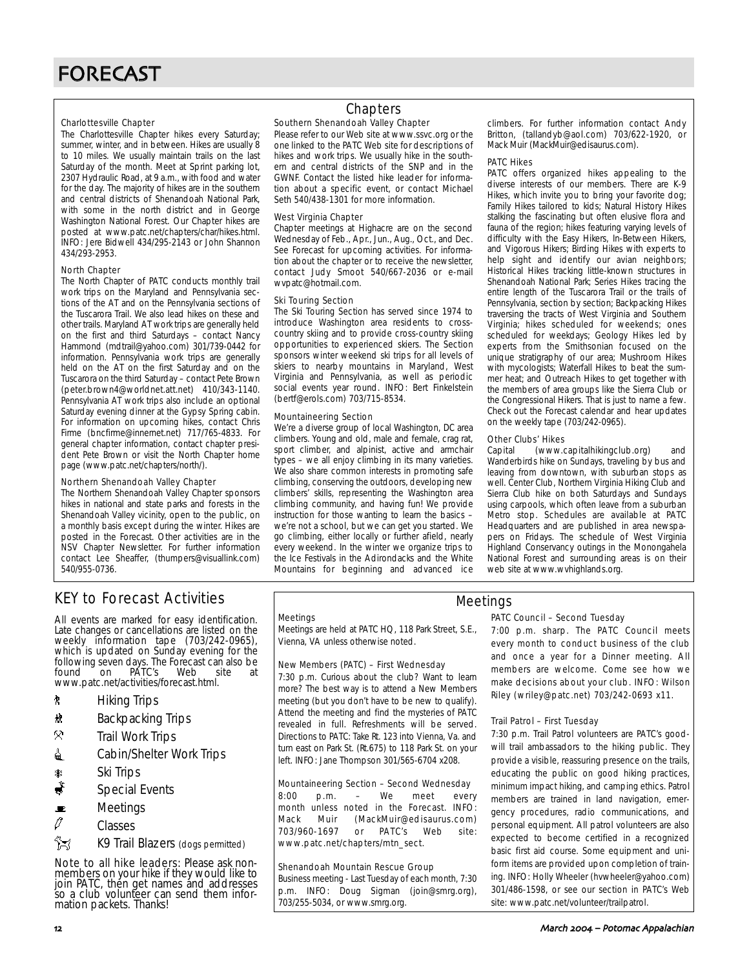#### Charlottesville Chapter

The Charlottesville Chapter hikes every Saturday; summer, winter, and in between. Hikes are usually 8 to 10 miles. We usually maintain trails on the last Saturday of the month. Meet at Sprint parking lot, 2307 Hydraulic Road, at 9 a.m., with food and water for the day. The majority of hikes are in the southern and central districts of Shenandoah National Park, with some in the north district and in George Washington National Forest. Our Chapter hikes are posted at www.patc.net/chapters/char/hikes.html. INFO: Jere Bidwell 434/295-2143 or John Shannon 434/293-2953.

#### North Chapter

The North Chapter of PATC conducts monthly trail work trips on the Maryland and Pennsylvania sections of the AT and on the Pennsylvania sections of the Tuscarora Trail. We also lead hikes on these and other trails. Maryland AT work trips are generally held on the first and third Saturdays – contact Nancy Hammond (mdtrail@yahoo.com) 301/739-0442 for information. Pennsylvania work trips are generally held on the AT on the first Saturday and on the Tuscarora on the third Saturday – contact Pete Brown (peter.brown4@worldnet.att.net) 410/343-1140. Pennsylvania AT work trips also include an optional Saturday evening dinner at the Gypsy Spring cabin. For information on upcoming hikes, contact Chris Firme (bncfirme@innernet.net) 717/765-4833. For general chapter information, contact chapter president Pete Brown or visit the North Chapter home page (www.patc.net/chapters/north/).

#### Northern Shenandoah Valley Chapter

The Northern Shenandoah Valley Chapter sponsors hikes in national and state parks and forests in the Shenandoah Valley vicinity, open to the public, on a monthly basis except during the winter. Hikes are posted in the Forecast. Other activities are in the NSV Chapter Newsletter. For further information contact Lee Sheaffer, (thumpers@visuallink.com) 540/955-0736.

# **Chapters**

#### Southern Shenandoah Valley Chapter

Please refer to our Web site at www.ssvc.org or the one linked to the PATC Web site for descriptions of hikes and work trips. We usually hike in the southern and central districts of the SNP and in the GWNF. Contact the listed hike leader for information about a specific event, or contact Michael Seth 540/438-1301 for more information.

#### West Virginia Chapter

Chapter meetings at Highacre are on the second Wednesday of Feb., Apr., Jun., Aug., Oct., and Dec. See Forecast for upcoming activities. For information about the chapter or to receive the newsletter, contact Judy Smoot 540/667-2036 or e-mail wvpatc@hotmail.com.

#### Ski Touring Section

The Ski Touring Section has served since 1974 to introduce Washington area residents to crosscountry skiing and to provide cross-country skiing opportunities to experienced skiers. The Section sponsors winter weekend ski trips for all levels of skiers to nearby mountains in Maryland, West Virginia and Pennsylvania, as well as periodic social events year round. INFO: Bert Finkelstein (bertf@erols.com) 703/715-8534.

#### Mountaineering Section

We're a diverse group of local Washington, DC area climbers. Young and old, male and female, crag rat, sport climber, and alpinist, active and armchair types – we all enjoy climbing in its many varieties. We also share common interests in promoting safe climbing, conserving the outdoors, developing new climbers' skills, representing the Washington area climbing community, and having fun! We provide instruction for those wanting to learn the basics – we're not a school, but we can get you started. We go climbing, either locally or further afield, nearly every weekend. In the winter we organize trips to the Ice Festivals in the Adirondacks and the White Mountains for beginning and advanced ice

climbers. For further information contact Andy Britton, (tallandyb@aol.com) 703/622-1920, or Mack Muir (MackMuir@edisaurus.com).

#### PATC Hikes

PATC offers organized hikes appealing to the diverse interests of our members. There are K-9 Hikes, which invite you to bring your favorite dog; Family Hikes tailored to kids; Natural History Hikes stalking the fascinating but often elusive flora and fauna of the region; hikes featuring varying levels of difficulty with the Easy Hikers, In-Between Hikers, and Vigorous Hikers; Birding Hikes with experts to help sight and identify our avian neighbors; Historical Hikes tracking little-known structures in Shenandoah National Park; Series Hikes tracing the entire length of the Tuscarora Trail or the trails of Pennsylvania, section by section; Backpacking Hikes traversing the tracts of West Virginia and Southern Virginia; hikes scheduled for weekends; ones scheduled for weekdays; Geology Hikes led by experts from the Smithsonian focused on the unique stratigraphy of our area; Mushroom Hikes with mycologists; Waterfall Hikes to beat the summer heat; and Outreach Hikes to get together with the members of area groups like the Sierra Club or the Congressional Hikers. That is just to name a few. Check out the Forecast calendar and hear updates on the weekly tape (703/242-0965).

#### Other Clubs' Hikes

Capital (www.capitalhikingclub.org) and Wanderbirds hike on Sundays, traveling by bus and leaving from downtown, with suburban stops as well. Center Club, Northern Virginia Hiking Club and Sierra Club hike on both Saturdays and Sundays using carpools, which often leave from a suburban Metro stop. Schedules are available at PATC Headquarters and are published in area newspapers on Fridays. The schedule of West Virginia Highland Conservancy outings in the Monongahela National Forest and surrounding areas is on their web site at www.wvhighlands.org.

# KEY to Forecast Activities

All events are marked for easy identification. Late changes or cancellations are listed on the weekly information tape (703/242-0965), which is updated on Sunday evening for the following seven days. The Forecast can also be<br>found on PATC's Web site at found on PATC's Web site at www.patc.net/activities/forecast.html.

- **A** Hiking Trips
- \* Backpacking Trips
- $\mathcal{R}$  Trail Work Trips
- **i** Cabin/Shelter Work Trips
- as Ski Trips<br><del>A</del> Special I
- Special Events
- $\blacksquare$  Meetings
- $\sqrt{a}$  Classes
- K9 Trail Blazers (dogs permitted)

Note to all hike leaders: Please ask nonmembers on your hike if they would like to join PATC, then get names and addresses so a club volunteer can send them information packets. Thanks!

#### **Meetings**

Meetings are held at PATC HQ, 118 Park Street, S.E., Vienna, VA unless otherwise noted.

#### New Members (PATC) – First Wednesday

7:30 p.m. Curious about the club? Want to learn more? The best way is to attend a New Members meeting (but you don't have to be new to qualify). Attend the meeting and find the mysteries of PATC revealed in full. Refreshments will be served. Directions to PATC: Take Rt. 123 into Vienna, Va. and turn east on Park St. (Rt.675) to 118 Park St. on your left. INFO: Jane Thompson 301/565-6704 x208.

#### Mountaineering Section – Second Wednesday

8:00 p.m. – We meet every month unless noted in the Forecast. INFO: Mack Muir (MackMuir@edisaurus.com) 703/960-1697 or PATC's Web site: www.patc.net/chapters/mtn\_sect.

#### Shenandoah Mountain Rescue Group

Business meeting - Last Tuesday of each month, 7:30 p.m. INFO: Doug Sigman (join@smrg.org), 703/255-5034, or www.smrg.org.

# PATC Council – Second Tuesday

Meetings

7:00 p.m. sharp. The PATC Council meets every month to conduct business of the club and once a year for a Dinner meeting. All members are welcome. Come see how we make decisions about your club. INFO: Wilson Riley (wriley@patc.net) 703/242-0693 x11.

#### Trail Patrol – First Tuesday

7:30 p.m. Trail Patrol volunteers are PATC's goodwill trail ambassadors to the hiking public. They provide a visible, reassuring presence on the trails, educating the public on good hiking practices, minimum impact hiking, and camping ethics. Patrol members are trained in land navigation, emergency procedures, radio communications, and personal equipment. All patrol volunteers are also expected to become certified in a recognized basic first aid course. Some equipment and uniform items are provided upon completion of training. INFO: Holly Wheeler (hvwheeler@yahoo.com) 301/486-1598, or see our section in PATC's Web site: www.patc.net/volunteer/trailpatrol.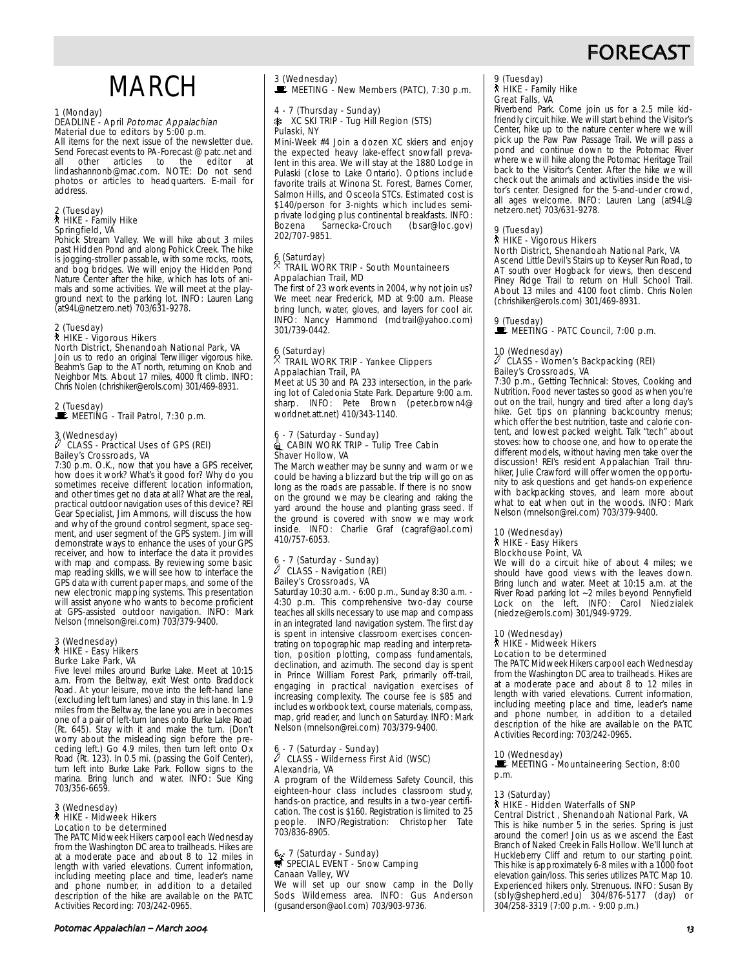# FORECAST

# MARCH

#### 1 (Monday)

#### DEADLINE - April Potomac Appalachian Material due to editors by 5:00 p.m.

All items for the next issue of the newsletter due. Send Forecast events to PA-Forecast @ patc.net and all other articles to the editor at lindashannonb@mac.com. NOTE: Do not send photos or articles to headquarters. E-mail for address.

#### 2 (Tuesday) ` HIKE - Family Hike Springfield, VA

Pohick Stream Valley. We will hike about 3 miles past Hidden Pond and along Pohick Creek. The hike is jogging-stroller passable, with some rocks, roots, and bog bridges. We will enjoy the Hidden Pond Nature Center after the hike, which has lots of animals and some activities. We will meet at the playground next to the parking lot. INFO: Lauren Lang (at94L@netzero.net) 703/631-9278.

# 2 (Tuesday)

#### ` HIKE - Vigorous Hikers North District, Shenandoah National Park, VA

Join us to redo an original Terwilliger vigorous hike. Beahm's Gap to the AT north, returning on Knob and Neighbor Mts. About 17 miles, 4000 ft climb. INFO: Chris Nolen (chrishiker@erols.com) 301/469-8931.

2 (Tuesday)

 $\mathbb E$  MEETING - Trail Patrol, 7:30 p.m.

# 3 (Wednesday) a CLASS - Practical Uses of GPS (REI) Bailey's Crossroads, VA

7:30 p.m. O.K., now that you have a GPS receiver, how does it work? What's it good for? Why do you sometimes receive different location information, and other times get no data at all? What are the real, practical outdoor navigation uses of this device? REI Gear Specialist, Jim Ammons, will discuss the how and why of the ground control segment, space segment, and user segment of the GPS system. Jim will demonstrate ways to enhance the uses of your GPS receiver, and how to interface the data it provides with map and compass. By reviewing some basic map reading skills, we will see how to interface the GPS data with current paper maps, and some of the new electronic mapping systems. This presentation will assist anyone who wants to become proficient at GPS-assisted outdoor navigation. INFO: Mark Nelson (mnelson@rei.com) 703/379-9400.

## 3 (Wednesday) ` HIKE - Easy Hikers Burke Lake Park, VA

Five level miles around Burke Lake. Meet at 10:15 a.m. From the Beltway, exit West onto Braddock Road. At your leisure, move into the left-hand lane (excluding left turn lanes) and stay in this lane. In 1.9 miles from the Beltway, the lane you are in becomes one of a pair of left-turn lanes onto Burke Lake Road (Rt. 645). Stay with it and make the turn. (Don't worry about the misleading sign before the preceding left.) Go 4.9 miles, then turn left onto Ox Road (Rt. 123). In 0.5 mi. (passing the Golf Center), turn left into Burke Lake Park. Follow signs to the marina. Bring lunch and water. INFO: Sue King 703/356-6659.

#### 3 (Wednesday) ` HIKE - Midweek Hikers Location to be determined

The PATC Midweek Hikers carpool each Wednesday from the Washington DC area to trailheads. Hikes are at a moderate pace and about 8 to 12 miles in length with varied elevations. Current information, including meeting place and time, leader's name and phone number, in addition to a detailed description of the hike are available on the PATC Activities Recording: 703/242-0965.

# 3 (Wednesday)<br>■ MEETING - New Members (PATC), 7:30 p.m.

4 - 7 (Thursday - Sunday) A XC SKI TRIP - Tug Hill Region (STS) Pulaski, NY

Mini-Week #4 Join a dozen XC skiers and enjoy the expected heavy lake-effect snowfall prevalent in this area. We will stay at the 1880 Lodge in Pulaski (close to Lake Ontario). Options include favorite trails at Winona St. Forest, Barnes Corner, Salmon Hills, and Osceola STCs. Estimated cost is \$140/person for 3-nights which includes semiprivate lodging plus continental breakfasts. INFO: Bozena Sarnecka-Crouch 202/707-9851.

# 6 (Saturday) . TRAIL WORK TRIP - South Mountaineers Appalachian Trail, MD

The first of 23 work events in 2004, why not join us? We meet near Frederick, MD at 9:00 a.m. Please bring lunch, water, gloves, and layers for cool air. INFO: Nancy Hammond (mdtrail@yahoo.com) 301/739-0442.

#### 6 (Saturday) . TRAIL WORK TRIP - Yankee Clippers Appalachian Trail, PA

Meet at US 30 and PA 233 intersection, in the parking lot of Caledonia State Park. Departure 9:00 a.m. sharp. INFO: Pete Brown (peter.brown4@ worldnet.att.net) 410/343-1140.

#### 6 - 7 (Saturday - Sunday) **EXTERGE CABIN WORK TRIP – Tulip Tree Cabin** Shaver Hollow, VA

The March weather may be sunny and warm or we could be having a blizzard but the trip will go on as long as the roads are passable. If there is no snow on the ground we may be clearing and raking the yard around the house and planting grass seed. If the ground is covered with snow we may work inside. INFO: Charlie Graf (cagraf@aol.com) 410/757-6053.

#### 6 - 7 (Saturday - Sunday) CLASS - Navigation (REI) Bailey's Crossroads, VA

Saturday 10:30 a.m. - 6:00 p.m., Sunday 8:30 a.m. - 4:30 p.m. This comprehensive two-day course teaches all skills necessary to use map and compass in an integrated land navigation system. The first day is spent in intensive classroom exercises concentrating on topographic map reading and interpretation, position plotting, compass fundamentals, declination, and azimuth. The second day is spent in Prince William Forest Park, primarily off-trail, engaging in practical navigation exercises of increasing complexity. The course fee is \$85 and includes workbook text, course materials, compass, map, grid reader, and lunch on Saturday. INFO: Mark Nelson (mnelson@rei.com) 703/379-9400.

# 6 - 7 (Saturday - Sunday) a CLASS - Wilderness First Aid (WSC) Alexandria, VA

A program of the Wilderness Safety Council, this eighteen-hour class includes classroom study, hands-on practice, and results in a two-year certification. The cost is \$160. Registration is limited to 25 people. INFO/Registration: Christopher Tate 703/836-8905.

# 6 5 7 (Saturday - Sunday)<br>
SPECIAL EVENT - Snow Camping Canaan Valley, WV

We will set up our snow camp in the Dolly Sods Wilderness area. INFO: Gus Anderson (gusanderson@aol.com) 703/903-9736.

# 9 (Tuesday) ` HIKE - Family Hike

Great Falls, VA

Riverbend Park. Come join us for a 2.5 mile kidfriendly circuit hike. We will start behind the Visitor's Center, hike up to the nature center where we will pick up the Paw Paw Passage Trail. We will pass a pond and continue down to the Potomac River where we will hike along the Potomac Heritage Trail back to the Visitor's Center. After the hike we will check out the animals and activities inside the visitor's center. Designed for the 5-and-under crowd, all ages welcome. INFO: Lauren Lang (at94L@ netzero.net) 703/631-9278.

### 9 (Tuesday)

#### ` HIKE - Vigorous Hikers North District, Shenandoah National Park, VA

Ascend Little Devil's Stairs up to Keyser Run Road, to AT south over Hogback for views, then descend Piney Ridge Trail to return on Hull School Trail. About 13 miles and 4100 foot climb. Chris Nolen (chrishiker@erols.com) 301/469-8931.

#### 9 (Tuesday)

## **MEETING - PATC Council, 7:00 p.m.**

#### 10 (Wednesday) a CLASS - Women's Backpacking (REI) Bailey's Crossroads, VA

7:30 p.m., Getting Technical: Stoves, Cooking and Nutrition. Food never tastes so good as when you're out on the trail, hungry and tired after a long day's hike. Get tips on planning backcountry menus; which offer the best nutrition, taste and calorie content, and lowest packed weight. Talk "tech" about stoves: how to choose one, and how to operate the different models, without having men take over the discussion! REI's resident Appalachian Trail thruhiker, Julie Crawford will offer women the opportunity to ask questions and get hands-on experience with backpacking stoves, and learn more about what to eat when out in the woods. INFO: Mark Nelson (mnelson@rei.com) 703/379-9400.

#### 10 (Wednesday) ` HIKE - Easy Hikers Blockhouse Point, VA

We will do a circuit hike of about 4 miles; we should have good views with the leaves down. Bring lunch and water. Meet at 10:15 a.m. at the River Road parking lot ~2 miles beyond Pennyfield Lock on the left. INFO: Carol Niedzialek (niedze@erols.com) 301/949-9729.

#### 10 (Wednesday) ` HIKE - Midweek Hikers Location to be determined

The PATC Midweek Hikers carpool each Wednesday from the Washington DC area to trailheads. Hikes are at a moderate pace and about 8 to 12 miles in length with varied elevations. Current information, including meeting place and time, leader's name and phone number, in addition to a detailed description of the hike are available on the PATC Activities Recording: 703/242-0965.

#### 10 (Wednesday)

MEETING - Mountaineering Section, 8:00 p.m.

#### 13 (Saturday)

### ` HIKE - Hidden Waterfalls of SNP

Central District , Shenandoah National Park, VA This is hike number 5 in the series. Spring is just around the corner! Join us as we ascend the East Branch of Naked Creek in Falls Hollow. We'll lunch at Huckleberry Cliff and return to our starting point. This hike is approximately 6-8 miles with a 1000 foot elevation gain/loss. This series utilizes PATC Map 10. Experienced hikers only. Strenuous. INFO: Susan By (sbly@shepherd.edu) 304/876-5177 (day) or 304/258-3319 (7:00 p.m. - 9:00 p.m.)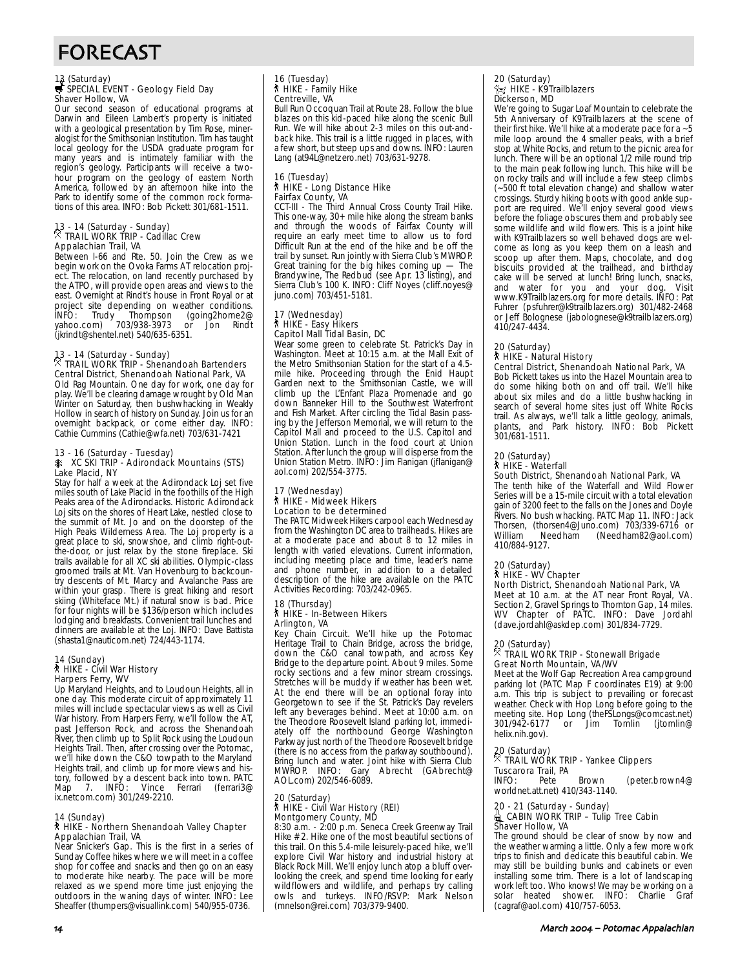# FORECAST

# 13 (Saturday)<br>₩ SPECIAL EVENT - Geology Field Day Shaver Hollow, VA

Our second season of educational programs at Darwin and Eileen Lambert's property is initiated with a geological presentation by Tim Rose, mineralogist for the Smithsonian Institution. Tim has taught local geology for the USDA graduate program for many years and is intimately familiar with the region's geology. Participants will receive a twohour program on the geology of eastern North America, followed by an afternoon hike into the Park to identify some of the common rock formations of this area. INFO: Bob Pickett 301/681-1511.

# 13 - 14 (Saturday - Sunday) . TRAIL WORK TRIP - Cadillac Crew Appalachian Trail, VA

Between I-66 and Rte. 50. Join the Crew as we begin work on the Ovoka Farms AT relocation project. The relocation, on land recently purchased by the ATPO, will provide open areas and views to the east. Overnight at Rindt's house in Front Royal or at project site depending on weather conditions. INFO: Trudy Thompson (going2home2@ project site depending on the going 2home 2@<br>INFO: Trudy Tompson (going 2home 2@<br>yahoo.com) 703/938-3973 or Jon Rindt (jkrindt@shentel.net) 540/635-6351.

13 - 14 (Saturday - Sunday) . TRAIL WORK TRIP - Shenandoah Bartenders Central District, Shenandoah National Park, VA Old Rag Mountain. One day for work, one day for play. We'll be clearing damage wrought by Old Man Winter on Saturday, then bushwhacking in Weakly Hollow in search of history on Sunday. Join us for an overnight backpack, or come either day. INFO: Cathie Cummins (Cathie@wfa.net) 703/631-7421

#### 13 - 16 (Saturday - Tuesday)

#### A XC SKI TRIP - Adirondack Mountains (STS) Lake Placid, NY

Stay for half a week at the Adirondack Loj set five miles south of Lake Placid in the foothills of the High Peaks area of the Adirondacks. Historic Adirondack Loj sits on the shores of Heart Lake, nestled close to the summit of Mt. Jo and on the doorstep of the High Peaks Wilderness Area. The Loj property is a great place to ski, snowshoe, and climb right-outthe-door, or just relax by the stone fireplace. Ski trails available for all XC ski abilities. Olympic-class groomed trails at Mt. Van Hovenburg to backcountry descents of Mt. Marcy and Avalanche Pass are within your grasp. There is great hiking and resort skiing (Whiteface Mt.) if natural snow is bad. Price for four nights will be \$136/person which includes lodging and breakfasts. Convenient trail lunches and dinners are available at the Loj. INFO: Dave Battista (shasta1@nauticom.net) 724/443-1174.

# 14 (Sunday)<br>┆ HIKE - Civil War History Harpers Ferry, WV

Up Maryland Heights, and to Loudoun Heights, all in one day. This moderate circuit of approximately 11 miles will include spectacular views as well as Civil War history. From Harpers Ferry, we'll follow the AT, past Jefferson Rock, and across the Shenandoah River, then climb up to Split Rock using the Loudoun Heights Trail. Then, after crossing over the Potomac, we'll hike down the C&O towpath to the Maryland Heights trail, and climb up for more views and history, followed by a descent back into town. PATC<br>Map 7. INFO: Vince Ferrari (ferrari3@ Vince Ferrari ix.netcom.com) 301/249-2210.

#### 14 (Sunday)

#### ` HIKE - Northern Shenandoah Valley Chapter Appalachian Trail, VA

Near Snicker's Gap. This is the first in a series of Sunday Coffee hikes where we will meet in a coffee shop for coffee and snacks and then go on an easy to moderate hike nearby. The pace will be more relaxed as we spend more time just enjoying the outdoors in the waning days of winter. INFO: Lee Sheaffer (thumpers@visuallink.com) 540/955-0736.

# 16 (Tuesday) ` HIKE - Family Hike Centreville, VA

Bull Run Occoquan Trail at Route 28. Follow the blue blazes on this kid-paced hike along the scenic Bull Run. We will hike about 2-3 miles on this out-andback hike. This trail is a little rugged in places, with a few short, but steep ups and downs. INFO: Lauren Lang (at94L@netzero.net) 703/631-9278.

#### 16 (Tuesday) ` HIKE - Long Distance Hike Fairfax County, VA

CCT-III - The Third Annual Cross County Trail Hike. This one-way, 30+ mile hike along the stream banks and through the woods of Fairfax County will require an early meet time to allow us to ford Difficult Run at the end of the hike and be off the trail by sunset. Run jointly with Sierra Club's MWROP. Great training for the big hikes coming up — The Brandywine, The Redbud (see Apr. 13 listing), and Sierra Club's 100 K. INFO: Cliff Noyes (cliff.noyes@ juno.com) 703/451-5181.

# 17 (Wednesday) ` HIKE - Easy Hikers Capitol Mall Tidal Basin, DC

Wear some green to celebrate St. Patrick's Day in Washington. Meet at 10:15 a.m. at the Mall Exit of the Metro Smithsonian Station for the start of a 4.5 mile hike. Proceeding through the Enid Haupt Garden next to the Smithsonian Castle, we will climb up the L'Enfant Plaza Promenade and go down Banneker Hill to the Southwest Waterfront and Fish Market. After circling the Tidal Basin passing by the Jefferson Memorial, we will return to the Capitol Mall and proceed to the U.S. Capitol and Union Station. Lunch in the food court at Union Station. After lunch the group will disperse from the Union Station Metro. INFO: Jim Flanigan (jflanigan@ aol.com) 202/554-3775.

#### 17 (Wednesday) ` HIKE - Midweek Hikers Location to be determined

The PATC Midweek Hikers carpool each Wednesday from the Washington DC area to trailheads. Hikes are at a moderate pace and about 8 to 12 miles in length with varied elevations. Current information, including meeting place and time, leader's name and phone number, in addition to a detailed description of the hike are available on the PATC Activities Recording: 703/242-0965.

#### 18 (Thursday) ` HIKE - In-Between Hikers Arlington, VA

Key Chain Circuit. We'll hike up the Potomac Heritage Trail to Chain Bridge, across the bridge, down the C&O canal towpath, and across Key Bridge to the departure point. About 9 miles. Some rocky sections and a few minor stream crossings. Stretches will be muddy if weather has been wet. At the end there will be an optional foray into Georgetown to see if the St. Patrick's Day revelers left any beverages behind. Meet at 10:00 a.m. on the Theodore Roosevelt Island parking lot, immediately off the northbound George Washington Parkway just north of the Theodore Roosevelt bridge (there is no access from the parkway southbound). Bring lunch and water. Joint hike with Sierra Club MWROP. INFO: Gary Abrecht (GAbrecht@ AOL.com) 202/546-6089.

#### 20 (Saturday) ` HIKE - Civil War History (REI) Montgomery County, MD

8:30 a.m. - 2:00 p.m. Seneca Creek Greenway Trail Hike # 2. Hike one of the most beautiful sections of this trail. On this 5.4-mile leisurely-paced hike, we'll explore Civil War history and industrial history at Black Rock Mill. We'll enjoy lunch atop a bluff overlooking the creek, and spend time looking for early wildflowers and wildlife, and perhaps try calling owls and turkeys. INFO/RSVP: Mark Nelson (mnelson@rei.com) 703/379-9400.

#### 20 (Saturday)  $\hat{\mathbb{X}}$  HIKE - K9Trailblazers Dickerson, MD

We're going to Sugar Loaf Mountain to celebrate the 5th Anniversary of K9Trailblazers at the scene of their first hike. We'll hike at a moderate pace for a  $-5$ mile loop around the 4 smaller peaks, with a brief stop at White Rocks, and return to the picnic area for lunch. There will be an optional 1/2 mile round trip to the main peak following lunch. This hike will be on rocky trails and will include a few steep climbs (~500 ft total elevation change) and shallow water crossings. Sturdy hiking boots with good ankle support are required. We'll enjoy several good views before the foliage obscures them and probably see some wildlife and wild flowers. This is a joint hike with K9Trailblazers so well behaved dogs are welcome as long as you keep them on a leash and scoop up after them. Maps, chocolate, and dog biscuits provided at the trailhead, and birthday cake will be served at lunch! Bring lunch, snacks, and water for you and your dog. Visit www.K9Trailblazers.org for more details. INFO: Pat Fuhrer (psfuhrer@k9trailblazers.org) 301/482-2468 or Jeff Bolognese (jabolognese@k9trailblazers.org) 410/247-4434.

### 20 (Saturday)

### **A** HIKE - Natural History

Central District, Shenandoah National Park, VA

Bob Pickett takes us into the Hazel Mountain area to do some hiking both on and off trail. We'll hike about six miles and do a little bushwhacking in search of several home sites just off White Rocks trail. As always, we'll talk a little geology, animals, plants, and Park history. INFO: Bob Pickett 301/681-1511.

### 20 (Saturday) ` HIKE - Waterfall

South District, Shenandoah National Park, VA The tenth hike of the Waterfall and Wild Flower Series will be a 15-mile circuit with a total elevation gain of 3200 feet to the falls on the Jones and Doyle Rivers. No bush whacking. PATC Map 11. INFO: Jack Thorsen, (thorsen4@Juno.com) 703/339-6716 or<br>William Needham (Needham82@aol.com) (Needham82@aol.com) 410/884-9127.

# 20 (Saturday) ` HIKE - WV Chapter

## North District, Shenandoah National Park, VA

Meet at 10 a.m. at the AT near Front Royal, VA. Section 2, Gravel Springs to Thornton Gap, 14 miles. WV Chapter of PATC. INFO: Dave Jordahl (dave.jordahl@askdep.com) 301/834-7729.

### 20 (Saturday) . TRAIL WORK TRIP - Stonewall Brigade Great North Mountain, VA/WV

Meet at the Wolf Gap Recreation Area campground parking lot (PATC Map F coordinates E19) at 9:00 a.m. This trip is subject to prevailing or forecast weather. Check with Hop Long before going to the meeting site. Hop Long (the FSLongs@comcast.net)<br>301/942-6177 or Jim Tomlin (itomlin@ 301/942-6177 helix.nih.gov).

# 20 (Saturday)

# . TRAIL WORK TRIP - Yankee Clippers **Tuscarora Trail, PA**<br>INFO: Pete

Brown (peter.brown4@ worldnet.att.net) 410/343-1140.

### 20 - 21 (Saturday - Sunday)<br>ॏॣ॒\_CABIN WORK TRIP – Tulip Tree Cabin Shaver Hollow, VA

The ground should be clear of snow by now and the weather warming a little. Only a few more work trips to finish and dedicate this beautiful cabin. We may still be building bunks and cabinets or even installing some trim. There is a lot of landscaping work left too. Who knows! We may be working on a<br>solar heated shower. INFO: Charlie Graf solar heated shower. INFO: Charlie Graf (cagraf@aol.com) 410/757-6053.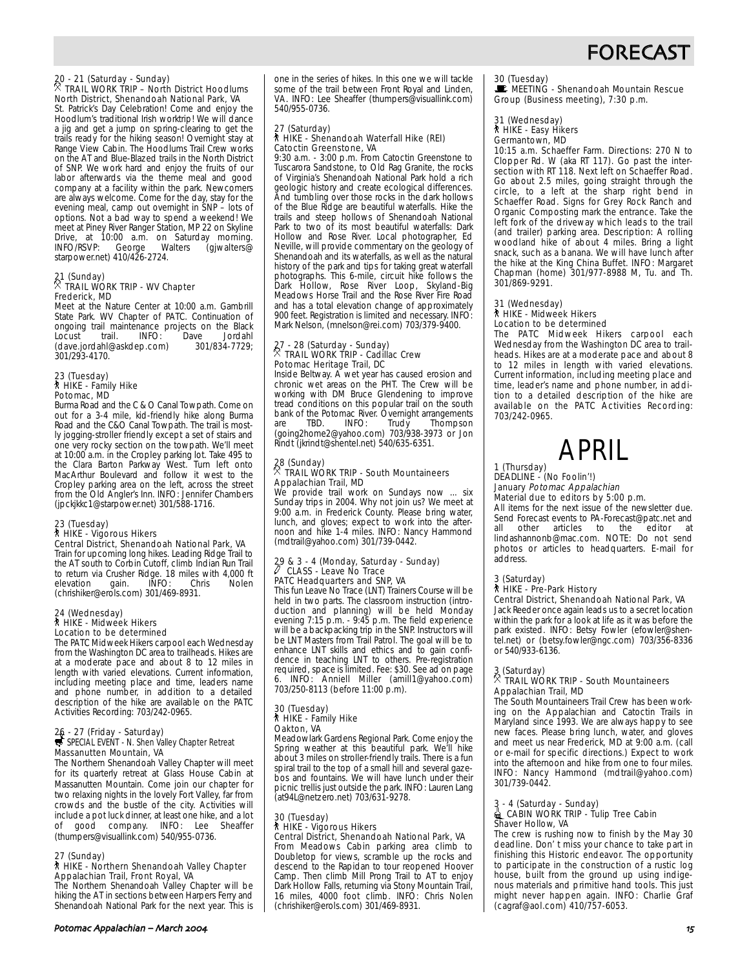

# 20 - 21 (Saturday - Sunday) . TRAIL WORK TRIP – North District Hoodlums North District, Shenandoah National Park, VA

St. Patrick's Day Celebration! Come and enjoy the Hoodlum's traditional Irish worktrip! We will dance a jig and get a jump on spring-clearing to get the trails ready for the hiking season! Overnight stay at Range View Cabin. The Hoodlums Trail Crew works on the AT and Blue-Blazed trails in the North District of SNP. We work hard and enjoy the fruits of our labor afterwards via the theme meal and good company at a facility within the park. Newcomers are always welcome. Come for the day, stay for the evening meal, camp out overnight in SNP – lots of options. Not a bad way to spend a weekend! We meet at Piney River Ranger Station, MP 22 on Skyline Drive, at 10:00 a.m. on Saturday morning. INFO/RSVP: George Walters (gjwalters@ starpower.net) 410/426-2724.

## 21 (Sunday) . TRAIL WORK TRIP - WV Chapter Frederick, MD

Meet at the Nature Center at 10:00 a.m. Gambrill State Park. WV Chapter of PATC. Continuation of ongoing trail maintenance projects on the Black<br>Locust trail. INFO: Dave Jordahl Locust trail. INFO: Dave Jordahl<br>(dave.iordahl@askdep.com) 301/834-7729: (dave.jordahl@askdep.com) 301/293-4170.

# 23 (Tuesday) ` HIKE - Family Hike Potomac, MD

Burma Road and the C & O Canal Towpath. Come on out for a 3-4 mile, kid-friendly hike along Burma Road and the C&O Canal Towpath. The trail is mostly jogging-stroller friendly except a set of stairs and one very rocky section on the towpath. We'll meet at 10:00 a.m. in the Cropley parking lot. Take 495 to the Clara Barton Parkway West. Turn left onto MacArthur Boulevard and follow it west to the Cropley parking area on the left, across the street from the Old Angler's Inn. INFO: Jennifer Chambers (jpckjkkc1@starpower.net) 301/588-1716.

#### 23 (Tuesday)

# **A** HIKE - Vigorous Hikers

Central District, Shenandoah National Park, VA Train for upcoming long hikes. Leading Ridge Trail to the AT south to Corbin Cutoff, climb Indian Run Trail to return via Crusher Ridge. 18 miles with 4,000 ft elevation gain. INFO: Chris Nolen (chrishiker@erols.com) 301/469-8931.

#### 24 (Wednesday) ` HIKE - Midweek Hikers Location to be determined

The PATC Midweek Hikers carpool each Wednesday from the Washington DC area to trailheads. Hikes are at a moderate pace and about 8 to 12 miles in length with varied elevations. Current information, including meeting place and time, leaders name and phone number, in addition to a detailed description of the hike are available on the PATC Activities Recording: 703/242-0965.

# 26 - 27 (Friday - Saturday)<br>5 SPECIAL EVENT - N. Shen Valley Chapter Retreat Massanutten Mountain, VA

The Northern Shenandoah Valley Chapter will meet for its quarterly retreat at Glass House Cabin at Massanutten Mountain. Come join our chapter for two relaxing nights in the lovely Fort Valley, far from crowds and the bustle of the city. Activities will include a pot luck dinner, at least one hike, and a lot good company. INFO: Lee Sheaffer (thumpers@visuallink.com) 540/955-0736.

#### 27 (Sunday)

#### ` HIKE - Northern Shenandoah Valley Chapter Appalachian Trail, Front Royal, VA

The Northern Shenandoah Valley Chapter will be hiking the AT in sections between Harpers Ferry and Shenandoah National Park for the next year. This is

Potomac Appalachian – March %

one in the series of hikes. In this one we will tackle some of the trail between Front Royal and Linden, VA. INFO: Lee Sheaffer (thumpers@visuallink.com) 540/955-0736.

### 27 (Saturday) ` HIKE - Shenandoah Waterfall Hike (REI) Catoctin Greenstone, VA

9:30 a.m. - 3:00 p.m. From Catoctin Greenstone to Tuscarora Sandstone, to Old Rag Granite, the rocks of Virginia's Shenandoah National Park hold a rich geologic history and create ecological differences. And tumbling over those rocks in the dark hollows of the Blue Ridge are beautiful waterfalls. Hike the trails and steep hollows of Shenandoah National Park to two of its most beautiful waterfalls: Dark Hollow and Rose River. Local photographer, Ed Neville, will provide commentary on the geology of Shenandoah and its waterfalls, as well as the natural history of the park and tips for taking great waterfall photographs. This 6-mile, circuit hike follows the Dark Hollow, Rose River Loop, Skyland-Big Meadows Horse Trail and the Rose River Fire Road and has a total elevation change of approximately 900 feet. Registration is limited and necessary. INFO: Mark Nelson, (mnelson@rei.com) 703/379-9400.

# 27 - 28 (Saturday - Sunday) . TRAIL WORK TRIP - Cadillac Crew Potomac Heritage Trail, DC

Inside Beltway. A wet year has caused erosion and chronic wet areas on the PHT. The Crew will be working with DM Bruce Glendening to improve tread conditions on this popular trail on the south bank of the Potomac River. Overnight arrangements<br>are TBD. INFO: Trudy Thompson are TBD. INFO: Trudy Thompson (going2home2@yahoo.com) 703/938-3973 or Jon Rindt (jkrindt@shentel.net) 540/635-6351.

# 28 (Sunday) . TRAIL WORK TRIP - South Mountaineers Appalachian Trail, MD

We provide trail work on Sundays now ... six Sunday trips in 2004. Why not join us? We meet at 9:00 a.m. in Frederick County. Please bring water, lunch, and gloves; expect to work into the afternoon and hike 1-4 miles. INFO: Nancy Hammond (mdtrail@yahoo.com) 301/739-0442.

#### 29 & 3 - 4 (Monday, Saturday - Sunday) CLASS - Leave No Trace PATC Headquarters and SNP, VA

This fun Leave No Trace (LNT) Trainers Course will be held in two parts. The classroom instruction (introduction and planning) will be held Monday evening 7:15 p.m. - 9:45 p.m. The field experience will be a backpacking trip in the SNP. Instructors will be LNT Masters from Trail Patrol. The goal will be to enhance LNT skills and ethics and to gain confidence in teaching LNT to others. Pre-registration required, space is limited. Fee: \$30. See ad on page 6. INFO: Anniell Miller (amill1@yahoo.com) 703/250-8113 (before 11:00 p.m).

#### 30 (Tuesday) ` HIKE - Family Hike

Oakton, VA

Meadowlark Gardens Regional Park. Come enjoy the Spring weather at this beautiful park. We'll hike about 3 miles on stroller-friendly trails. There is a fun spiral trail to the top of a small hill and several gazebos and fountains. We will have lunch under their picnic trellis just outside the park. INFO: Lauren Lang (at94L@netzero.net) 703/631-9278.

#### 30 (Tuesday) ` HIKE - Vigorous Hikers

Central District, Shenandoah National Park, VA From Meadows Cabin parking area climb to Doubletop for views, scramble up the rocks and descend to the Rapidan to tour reopened Hoover Camp. Then climb Mill Prong Trail to AT to enjoy Dark Hollow Falls, returning via Stony Mountain Trail, 16 miles, 4000 foot climb. INFO: Chris Nolen (chrishiker@erols.com) 301/469-8931.

## 30 (Tuesday)

 $\mathbf{E}$  MEETING - Shenandoah Mountain Rescue Group (Business meeting), 7:30 p.m.

#### 31 (Wednesday) ` HIKE - Easy Hikers

#### Germantown, MD

10:15 a.m. Schaeffer Farm. Directions: 270 N to Clopper Rd. W (aka RT 117). Go past the intersection with RT 118. Next left on Schaeffer Road. Go about 2.5 miles, going straight through the circle, to a left at the sharp right bend in Schaeffer Road. Signs for Grey Rock Ranch and Organic Composting mark the entrance. Take the left fork of the driveway which leads to the trail (and trailer) parking area. Description: A rolling woodland hike of about 4 miles. Bring a light snack, such as a banana. We will have lunch after the hike at the King China Buffet. INFO: Margaret Chapman (home) 301/977-8988 M, Tu. and Th. 301/869-9291.

#### 31 (Wednesday)

#### ` HIKE - Midweek Hikers Location to be determined

The PATC Midweek Hikers carpool each Wednesday from the Washington DC area to trailheads. Hikes are at a moderate pace and about 8 to 12 miles in length with varied elevations. Current information, including meeting place and time, leader's name and phone number, in addition to a detailed description of the hike are available on the PATC Activities Recording: 703/242-0965.

# APRIL

#### 1 (Thursday) DEADLINE - (No Foolin'!)

January Potomac Appalachian Material due to editors by 5:00 p.m.

### All items for the next issue of the newsletter due. Send Forecast events to PA-Forecast@patc.net and all other articles to the editor at

lindashannonb@mac.com. NOTE: Do not send photos or articles to headquarters. E-mail for address.

#### 3 (Saturday) ` HIKE - Pre-Park History

Central District, Shenandoah National Park, VA Jack Reeder once again leads us to a secret location within the park for a look at life as it was before the park existed. INFO: Betsy Fowler (efowler@shentel.net) or (betsy.fowler@ngc.com) 703/356-8336 or 540/933-6136.

## 3 (Saturday) . TRAIL WORK TRIP - South Mountaineers Appalachian Trail, MD

The South Mountaineers Trail Crew has been working on the Appalachian and Catoctin Trails in Maryland since 1993. We are always happy to see new faces. Please bring lunch, water, and gloves and meet us near Frederick, MD at 9:00 a.m. (call or e-mail for specific directions.) Expect to work into the afternoon and hike from one to four miles. INFO: Nancy Hammond (mdtrail@yahoo.com) 301/739-0442.

#### 3 - 4 (Saturday - Sunday) **● CABIN WORK TRIP - Tulip Tree Cabin** Shaver Hollow, VA

The crew is rushing now to finish by the May 30 deadline. Don' t miss your chance to take part in finishing this Historic endeavor. The opportunity to participate in the construction of a rustic log house, built from the ground up using indigenous materials and primitive hand tools. This just might never happen again. INFO: Charlie Graf (cagraf@aol.com) 410/757-6053.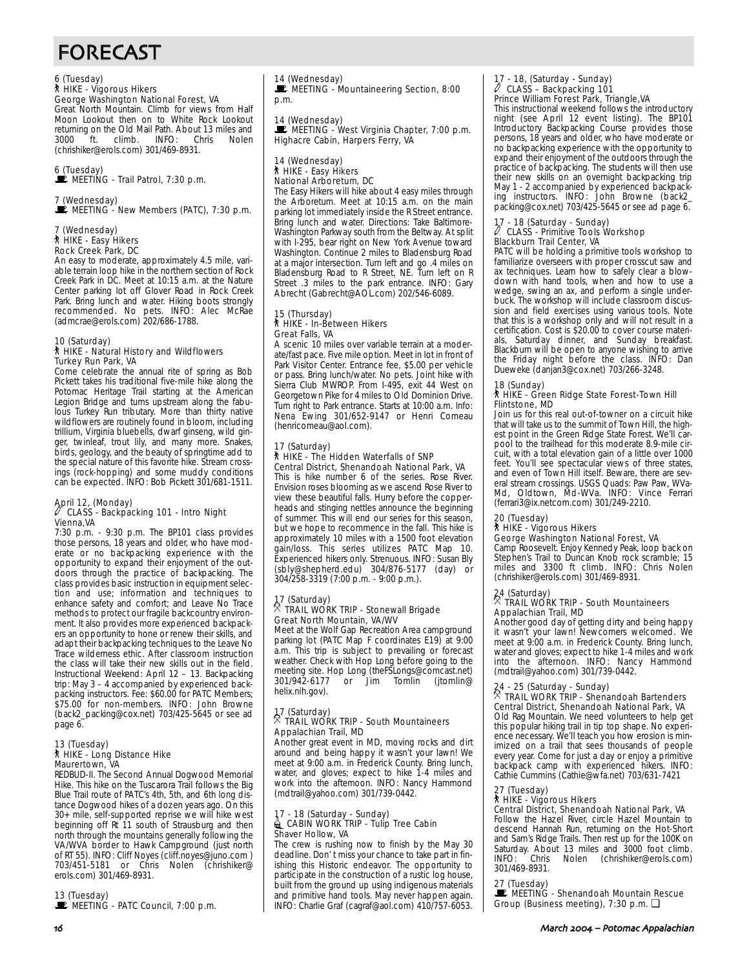# FORECAST

# 6 (Tuesday) ` HIKE - Vigorous Hikers

# George Washington National Forest, VA

Great North Mountain. Climb for views from Half Moon Lookout then on to White Rock Lookout returning on the Old Mail Path. About 13 miles and 3000 ft. climb. INFO: Chris Nolen (chrishiker@erols.com) 301/469-8931.

#### 6 (Tuesday)  $\mathbf{\mathbf{\mathbf{\mathbb{E}}}}$  MEETING - Trail Patrol, 7:30 p.m.

#### 7 (Wednesday)  $\mathbf{\dot{E}}$  MEETING - New Members (PATC), 7:30 p.m.

7 (Wednesday) ` HIKE - Easy Hikers Rock Creek Park, DC

An easy to moderate, approximately 4.5 mile, variable terrain loop hike in the northern section of Rock Creek Park in DC. Meet at 10:15 a.m. at the Nature Center parking lot off Glover Road in Rock Creek Park. Bring lunch and water. Hiking boots strongly recommended. No pets. INFO: Alec McRae (admcrae@erols.com) 202/686-1788.

#### 10 (Saturday) ` HIKE - Natural History and Wildflowers Turkey Run Park, VA

Come celebrate the annual rite of spring as Bob Pickett takes his traditional five-mile hike along the Potomac Heritage Trail starting at the American Legion Bridge and turns upstream along the fabulous Turkey Run tributary. More than thirty native wildflowers are routinely found in bloom, including trillium, Virginia bluebells, dwarf ginseng, wild ginger, twinleaf, trout lily, and many more. Snakes, birds, geology, and the beauty of springtime add to the special nature of this favorite hike. Stream crossings (rock-hopping) and some muddy conditions can be expected. INFO: Bob Pickett 301/681-1511.

#### April 12, (Monday) CLASS - Backpacking 101 - Intro Night Vienna,VA

7:30 p.m. - 9:30 p.m. The BP101 class provides those persons, 18 years and older, who have moderate or no backpacking experience with the opportunity to expand their enjoyment of the outdoors through the practice of backpacking. The class provides basic instruction in equipment selection and use; information and techniques to enhance safety and comfort; and Leave No Trace methods to protect our fragile backcountry environment. It also provides more experienced backpackers an opportunity to hone or renew their skills, and adapt their backpacking techniques to the Leave No Trace wilderness ethic. After classroom instruction the class will take their new skills out in the field. Instructional Weekend: April 12 – 13. Backpacking trip: May 3 – 4 accompanied by experienced backpacking instructors. Fee: \$60.00 for PATC Members; \$75.00 for non-members. INFO: John Browne (back2\_packing@cox.net) 703/425-5645 or see ad page 6.

#### 13 (Tuesday) ` HIKE - Long Distance Hike Maurertown, VA

REDBUD-II. The Second Annual Dogwood Memorial Hike. This hike on the Tuscarora Trail follows the Big Blue Trail route of PATC's 4th, 5th, and 6th long distance Dogwood hikes of a dozen years ago. On this 30+ mile, self-supported reprise we will hike west beginning off Rt 11 south of Strausburg and then north through the mountains generally following the VA/WVA border to Hawk Campground (just north of RT 55). INFO: Cliff Noyes (cliff.noyes@juno.com) 703/451-5181 or Chris Nolen (chrishiker@ erols.com) 301/469-8931.

13 (Tuesday)

MEETING - PATC Council, 7:00 p.m.

# 14 (Wednesday)

MEETING - Mountaineering Section, 8:00 p.m.

14 (Wednesday)<br>█ MEETING - West Virginia Chapter, 7:00 p.m. Highacre Cabin, Harpers Ferry, VA

#### 14 (Wednesday) ` HIKE - Easy Hikers National Arboretum, DC

The Easy Hikers will hike about 4 easy miles through the Arboretum. Meet at 10:15 a.m. on the main parking lot immediately inside the R Street entrance. Bring lunch and water. Directions: Take Baltimore-Washington Parkway south from the Beltway. At split with I-295, bear right on New York Avenue toward Washington. Continue 2 miles to Bladensburg Road at a major intersection. Turn left and go .4 miles on Bladensburg Road to R Street, NE. Turn left on R Street .3 miles to the park entrance. INFO: Gary Abrecht (Gabrecht@AOL.com) 202/546-6089.

#### 15 (Thursday) ` HIKE - In-Between Hikers Great Falls, VA

A scenic 10 miles over variable terrain at a moderate/fast pace. Five mile option. Meet in lot in front of Park Visitor Center. Entrance fee, \$5.00 per vehicle or pass. Bring lunch/water. No pets. Joint hike with Sierra Club MWROP. From I-495, exit 44 West on Georgetown Pike for 4 miles to Old Dominion Drive. Turn right to Park entrance. Starts at 10:00 a.m. Info: Nena Ewing 301/652-9147 or Henri Comeau (henricomeau@aol.com).

#### 17 (Saturday) ` HIKE - The Hidden Waterfalls of SNP Central District, Shenandoah National Park, VA

This is hike number 6 of the series. Rose River. Envision roses blooming as we ascend Rose River to view these beautiful falls. Hurry before the copperheads and stinging nettles announce the beginning of summer. This will end our series for this season, but we hope to recommence in the fall. This hike is approximately 10 miles with a 1500 foot elevation gain/loss. This series utilizes PATC Map 10. Experienced hikers only. Strenuous. INFO: Susan Bly (sbly@shepherd.edu) 304/876-5177 (day) or 304/258-3319 (7:00 p.m. - 9:00 p.m.).

#### 17 (Saturday) . TRAIL WORK TRIP - Stonewall Brigade Great North Mountain, VA/WV

Meet at the Wolf Gap Recreation Area campground parking lot (PATC Map F coordinates E19) at 9:00 a.m. This trip is subject to prevailing or forecast weather. Check with Hop Long before going to the meeting site. Hop Long (the FSLongs@comcast.net)<br>301/942-6177 or Jim Tomlin (jtomlin@ 301 - Jim Tomlin helix.nih.gov).

# 17 (Saturday) . TRAIL WORK TRIP - South Mountaineers Appalachian Trail, MD

Another great event in MD, moving rocks and dirt around and being happy it wasn't your lawn! We meet at 9:00 a.m. in Frederick County. Bring lunch, water, and gloves; expect to hike 1-4 miles and water, and giores, expect to their (mdtrail@yahoo.com) 301/739-0442.

#### 17 - 18 (Saturday - Sunday)  $\triangleq$  CABIN WORK TRIP - Tulip Tree Cabin Shaver Hollow, VA

The crew is rushing now to finish by the May 30 deadline. Don' t miss your chance to take part in finishing this Historic endeavor. The opportunity to participate in the construction of a rustic log house, built from the ground up using indigenous materials and primitive hand tools. May never happen again. INFO: Charlie Graf (cagraf@aol.com) 410/757-6053.

#### - 18, (Saturday - Sunday) CLASS - Backpacking 101 Prince William Forest Park, Triangle,VA

This instructional weekend follows the introductory night (see April 12 event listing). The BP101 Introductory Backpacking Course provides those persons, 18 years and older, who have moderate or no backpacking experience with the opportunity to expand their enjoyment of the outdoors through the practice of backpacking. The students will then use their new skills on an overnight backpacking trip May 1 - 2 accompanied by experienced backpacking instructors. INFO: John Browne (back2\_ packing@cox.net) 703/425-5645 or see ad page 6.

#### - 18 (Saturday - Sunday) a CLASS - Primitive Tools Workshop Blackburn Trail Center, VA

PATC will be holding a primitive tools workshop to familiarize overseers with proper crosscut saw and ax techniques. Learn how to safely clear a blowdown with hand tools, when and how to use a wedge, swing an ax, and perform a single underbuck. The workshop will include classroom discussion and field exercises using various tools. Note that this is a workshop only and will not result in a certification. Cost is \$20.00 to cover course materials, Saturday dinner, and Sunday breakfast. Blackburn will be open to anyone wishing to arrive the Friday night before the class. INFO: Dan Dueweke (danjan3@cox.net) 703/266-3248.

#### 18 (Sunday)

#### ` HIKE - Green Ridge State Forest-Town Hill Flintstone, MD

Join us for this real out-of-towner on a circuit hike that will take us to the summit of Town Hill, the highest point in the Green Ridge State Forest. We'll carpool to the trailhead for this moderate 8.9-mile circuit, with a total elevation gain of a little over 1000 feet. You'll see spectacular views of three states, and even of Town Hill itself. Beware, there are several stream crossings. USGS Quads: Paw Paw, WVa-Md, Oldtown, Md-WVa. INFO: Vince Ferrari (ferrari3@ix.netcom.com) 301/249-2210.

# 20 (Tuesday) ` HIKE - Vigorous Hikers

George Washington National Forest, VA Camp Roosevelt. Enjoy Kennedy Peak, loop back on

Stephen's Trail to Duncan Knob rock scramble; 15 miles and 3300 ft climb. INFO: Chris Nolen (chrishiker@erols.com) 301/469-8931.

## 24 (Saturday) . TRAIL WORK TRIP - South Mountaineers Appalachian Trail, MD

Another good day of getting dirty and being happy it wasn't your lawn! Newcomers welcomed. We meet at 9:00 a.m. in Frederick County. Bring lunch, water and gloves; expect to hike 1-4 miles and work into the afternoon. INFO: Nancy Hammond (mdtrail@yahoo.com) 301/739-0442.

# 24 - 25 (Saturday - Sunday) . TRAIL WORK TRIP - Shenandoah Bartenders

# Central District, Shenandoah National Park, VA

Old Rag Mountain. We need volunteers to help get this popular hiking trail in tip top shape. No experience necessary. We'll teach you how erosion is minimized on a trail that sees thousands of people every year. Come for just a day or enjoy a primitive backpack camp with experienced hikers. INFO: Cathie Cummins (Cathie@wfa.net) 703/631-7421

# 27 (Tuesday) ` HIKE - Vigorous Hikers

Central District, Shenandoah National Park, VA Follow the Hazel River, circle Hazel Mountain to descend Hannah Run, returning on the Hot-Short and Sam's Ridge Trails. Then rest up for the 100K on Saturday. About 13 miles and 3000 foot climb. INFO: Chris Nolen (chrishiker@erols.com) 301/469-8931.

### 27 (Tuesday)

WEETING - Shenandoah Mountain Rescue Group (Business meeting), 7:30 p.m. ❏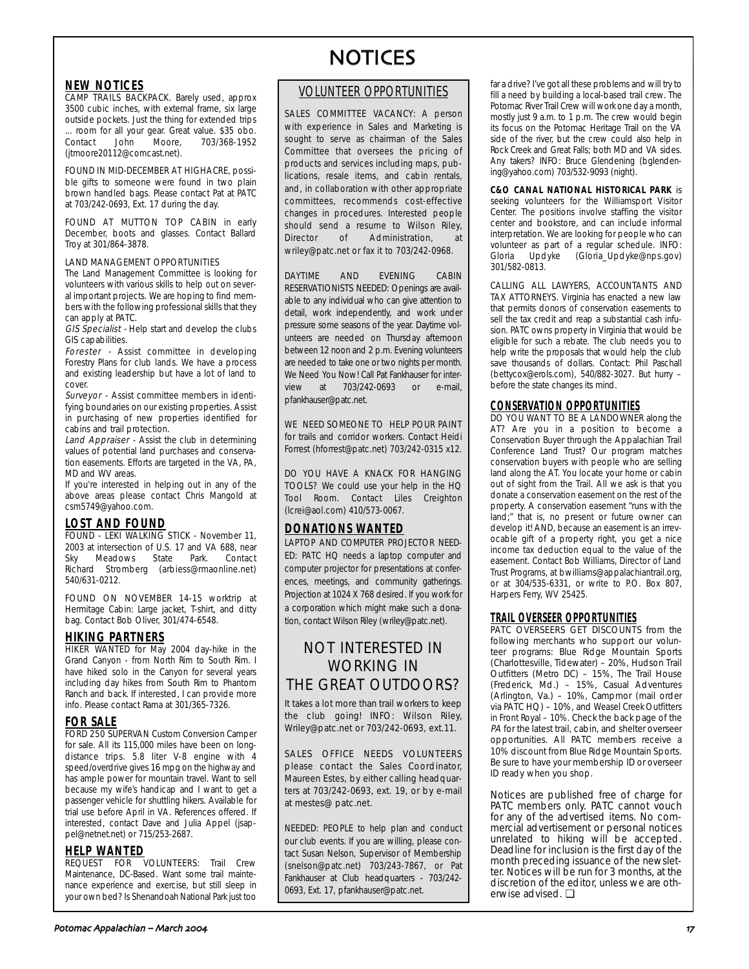### **NEW NOTICES**

CAMP TRAILS BACKPACK. Barely used, approx 3500 cubic inches, with external frame, six large outside pockets. Just the thing for extended trips ... room for all your gear. Great value. \$35 obo. 703/368-1952 (jtmoore20112@comcast.net).

FOUND IN MID-DECEMBER AT HIGHACRE, possible gifts to someone were found in two plain brown handled bags. Please contact Pat at PATC at 703/242-0693, Ext. 17 during the day.

FOUND AT MUTTON TOP CABIN in early December, boots and glasses. Contact Ballard Troy at 301/864-3878.

#### LAND MANAGEMENT OPPORTUNITIES

The Land Management Committee is looking for volunteers with various skills to help out on several important projects. We are hoping to find members with the following professional skills that they can apply at PATC.

**GIS Specialist** - Help start and develop the clubs GIS capabilities.

Forester - Assist committee in developing Forestry Plans for club lands. We have a process and existing leadership but have a lot of land to cover.

Surveyor - Assist committee members in identifying boundaries on our existing properties. Assist in purchasing of new properties identified for cabins and trail protection.

Land Appraiser - Assist the club in determining values of potential land purchases and conservation easements. Efforts are targeted in the VA, PA, MD and WV areas.

If you're interested in helping out in any of the above areas please contact Chris Mangold at csm5749@yahoo.com.

### **LOST AND FOUND**

FOUND - LEKI WALKING STICK - November 11, 2003 at intersection of U.S. 17 and VA 688, near Sky Meadows State Park. Contact Richard Stromberg (arbiess@rmaonline.net) 540/631-0212.

FOUND ON NOVEMBER 14-15 worktrip at Hermitage Cabin: Large jacket, T-shirt, and ditty bag. Contact Bob Oliver, 301/474-6548.

### **HIKING PARTNERS**

HIKER WANTED for May 2004 day-hike in the Grand Canyon - from North Rim to South Rim. I have hiked solo in the Canyon for several years including day hikes from South Rim to Phantom Ranch and back. If interested, I can provide more info. Please contact Rama at 301/365-7326.

### **FOR SALE**

FORD 250 SUPERVAN Custom Conversion Camper for sale. All its 115,000 miles have been on longdistance trips. 5.8 liter V-8 engine with 4 speed/overdrive gives 16 mpg on the highway and has ample power for mountain travel. Want to sell because my wife's handicap and I want to get a passenger vehicle for shuttling hikers. Available for trial use before April in VA. References offered. If interested, contact Dave and Julia Appel (jsappel@netnet.net) or 715/253-2687.

### **HELP WANTED**

**REQUEST FOR VOLUNTEERS:** Trail Crew Maintenance, DC-Based. Want some trail maintenance experience and exercise, but still sleep in your own bed? Is Shenandoah National Park just too

## VOLUNTEER OPPORTUNITIES

SALES COMMITTEE VACANCY: A person with experience in Sales and Marketing is sought to serve as chairman of the Sales Committee that oversees the pricing of products and services including maps, publications, resale items, and cabin rentals, and, in collaboration with other appropriate committees, recommends cost-effective changes in procedures. Interested people should send a resume to Wilson Riley, Director of Administration, at wriley@patc.net or fax it to 703/242-0968.

DAYTIME AND EVENING CABIN RESERVATIONISTS NEEDED: Openings are available to any individual who can give attention to detail, work independently, and work under pressure some seasons of the year. Daytime volunteers are needed on Thursday afternoon between 12 noon and 2 p.m. Evening volunteers are needed to take one or two nights per month. We Need You Now! Call Pat Fankhauser for interview at 703/242-0693 or e-mail, pfankhauser@patc.net.

WE NEED SOMEONE TO HELP POUR PAINT for trails and corridor workers. Contact Heidi Forrest (hforrest@patc.net) 703/242-0315 x12.

DO YOU HAVE A KNACK FOR HANGING TOOLS? We could use your help in the HQ Tool Room. Contact Liles Creighton (lcrei@aol.com) 410/573-0067.

# **DONATIONS WANTED**

LAPTOP AND COMPUTER PROJECTOR NEED-ED: PATC HQ needs a laptop computer and computer projector for presentations at conferences, meetings, and community gatherings. Projection at 1024 X 768 desired. If you work for a corporation which might make such a donation, contact Wilson Riley (wriley@patc.net).

# NOT INTERESTED IN WORKING IN THE GREAT OUTDOORS?

It takes a lot more than trail workers to keep the club going! INFO: Wilson Riley, Wriley@patc.net or 703/242-0693, ext.11.

SALES OFFICE NEEDS VOLUNTEERS please contact the Sales Coordinator, Maureen Estes, by either calling headquarters at 703/242-0693, ext. 19, or by e-mail at mestes@ patc.net.

NEEDED: PEOPLE to help plan and conduct our club events. If you are willing, please contact Susan Nelson, Supervisor of Membership (snelson@patc.net) 703/243-7867, or Pat Fankhauser at Club headquarters - 703/242- 0693, Ext. 17, pfankhauser@patc.net.

far a drive? I've got all these problems and will try to fill a need by building a local-based trail crew. The Potomac River Trail Crew will work one day a month, mostly just 9 a.m. to 1 p.m. The crew would begin its focus on the Potomac Heritage Trail on the VA side of the river, but the crew could also help in Rock Creek and Great Falls; both MD and VA sides. Any takers? INFO: Bruce Glendening (bglendening@yahoo.com) 703/532-9093 (night).

**C&O CANAL NATIONAL HISTORICAL PARK** is seeking volunteers for the Williamsport Visitor Center. The positions involve staffing the visitor center and bookstore, and can include informal interpretation. We are looking for people who can volunteer as part of a regular schedule. INFO: Gloria Updyke (Gloria\_Updyke@nps.gov) 301/582-0813.

CALLING ALL LAWYERS, ACCOUNTANTS AND TAX ATTORNEYS. Virginia has enacted a new law that permits donors of conservation easements to sell the tax credit and reap a substantial cash infusion. PATC owns property in Virginia that would be eligible for such a rebate. The club needs you to help write the proposals that would help the club save thousands of dollars. Contact: Phil Paschall (bettycox@erols.com), 540/882-3027. But hurry – before the state changes its mind.

## **CONSERVATION OPPORTUNITIES**

DO YOU WANT TO BE A LANDOWNER along the AT? Are you in a position to become a Conservation Buyer through the Appalachian Trail Conference Land Trust? Our program matches conservation buyers with people who are selling land along the AT. You locate your home or cabin out of sight from the Trail. All we ask is that you donate a conservation easement on the rest of the property. A conservation easement "runs with the land;" that is, no present or future owner can develop it! AND, because an easement is an irrevocable gift of a property right, you get a nice income tax deduction equal to the value of the easement. Contact Bob Williams, Director of Land Trust Programs, at bwilliams@appalachiantrail.org, or at 304/535-6331, or write to P.O. Box 807, Harpers Ferry, WV 25425.

### **TRAIL OVERSEER OPPORTUNITIES**

PATC OVERSEERS GET DISCOUNTS from the following merchants who support our volunteer programs: Blue Ridge Mountain Sports (Charlottesville, Tidewater) – 20%, Hudson Trail Outfitters (Metro DC) – 15%, The Trail House (Frederick, Md.) – 15%, Casual Adventures (Arlington, Va.) – 10%, Campmor (mail order via PATC HQ) – 10%, and Weasel Creek Outfitters in Front Royal – 10%. Check the back page of the PA for the latest trail, cabin, and shelter overseer opportunities. All PATC members receive a 10% discount from Blue Ridge Mountain Sports. Be sure to have your membership ID or overseer ID ready when you shop.

Notices are published free of charge for PATC members only. PATC cannot vouch for any of the advertised items. No commercial advertisement or personal notices unrelated to hiking will be accepted. Deadline for inclusion is the first day of the month preceding issuance of the newsletter. Notices will be run for 3 months, at the discretion of the editor, unless we are otherwise advised. ❏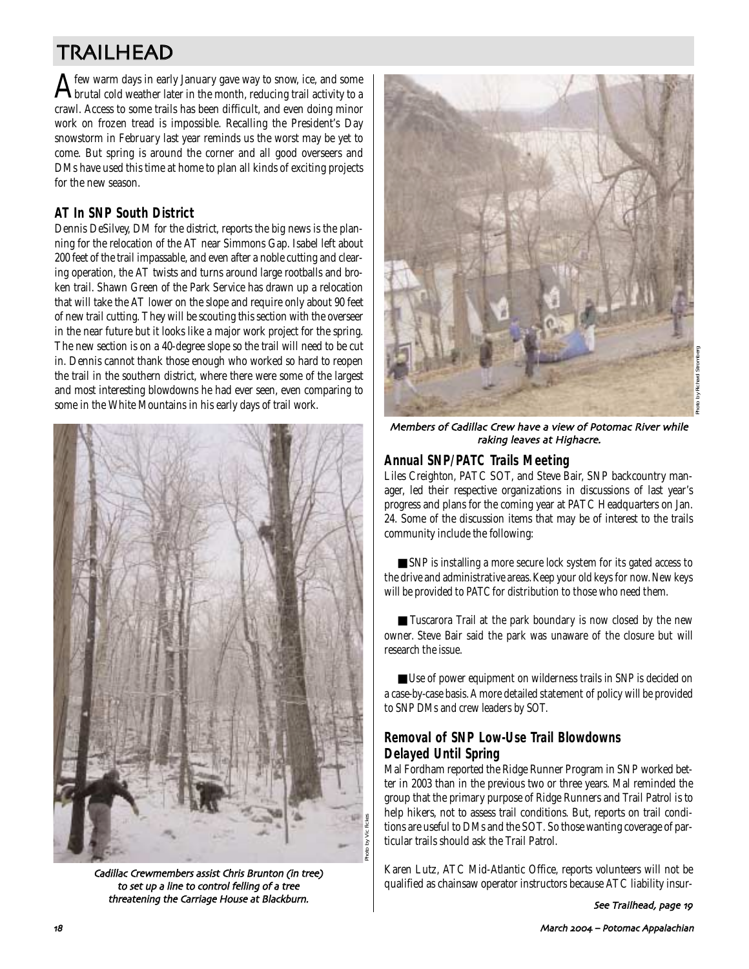# TRAILHEAD

 ${\bf A}$  few warm days in early January gave way to snow, ice, and some<br>brutal cold weather later in the month, reducing trail activity to a crawl. Access to some trails has been difficult, and even doing minor work on frozen tread is impossible. Recalling the President's Day snowstorm in February last year reminds us the worst may be yet to come. But spring is around the corner and all good overseers and DMs have used this time at home to plan all kinds of exciting projects for the new season.

# **AT In SNP South District**

Dennis DeSilvey, DM for the district, reports the big news is the planning for the relocation of the AT near Simmons Gap. Isabel left about 200 feet of the trail impassable, and even after a noble cutting and clearing operation, the AT twists and turns around large rootballs and broken trail. Shawn Green of the Park Service has drawn up a relocation that will take the AT lower on the slope and require only about 90 feet of new trail cutting. They will be scouting this section with the overseer in the near future but it looks like a major work project for the spring. The new section is on a 40-degree slope so the trail will need to be cut in. Dennis cannot thank those enough who worked so hard to reopen the trail in the southern district, where there were some of the largest and most interesting blowdowns he had ever seen, even comparing to some in the White Mountains in his early days of trail work.



Cadillac Crewmembers assist Chris Brunton (in tree) to set up a line to control felling of a tree threatening the Carriage House at Blackburn.



Members of Cadillac Crew have a view of Potomac River while raking leaves at Highacre.

# **Annual SNP/PATC Trails Meeting**

Liles Creighton, PATC SOT, and Steve Bair, SNP backcountry manager, led their respective organizations in discussions of last year's progress and plans for the coming year at PATC Headquarters on Jan. 24. Some of the discussion items that may be of interest to the trails community include the following:

■ SNP is installing a more secure lock system for its gated access to the drive and administrative areas. Keep your old keys for now. New keys will be provided to PATC for distribution to those who need them.

■ Tuscarora Trail at the park boundary is now closed by the new owner. Steve Bair said the park was unaware of the closure but will research the issue.

■ Use of power equipment on wilderness trails in SNP is decided on a case-by-case basis. A more detailed statement of policy will be provided to SNP DMs and crew leaders by SOT.

# **Removal of SNP Low-Use Trail Blowdowns Delayed Until Spring**

Mal Fordham reported the Ridge Runner Program in SNP worked better in 2003 than in the previous two or three years. Mal reminded the group that the primary purpose of Ridge Runners and Trail Patrol is to help hikers, not to assess trail conditions. But, reports on trail conditions are useful to DMs and the SOT. So those wanting coverage of particular trails should ask the Trail Patrol.

Karen Lutz, ATC Mid-Atlantic Office, reports volunteers will not be qualified as chainsaw operator instructors because ATC liability insur-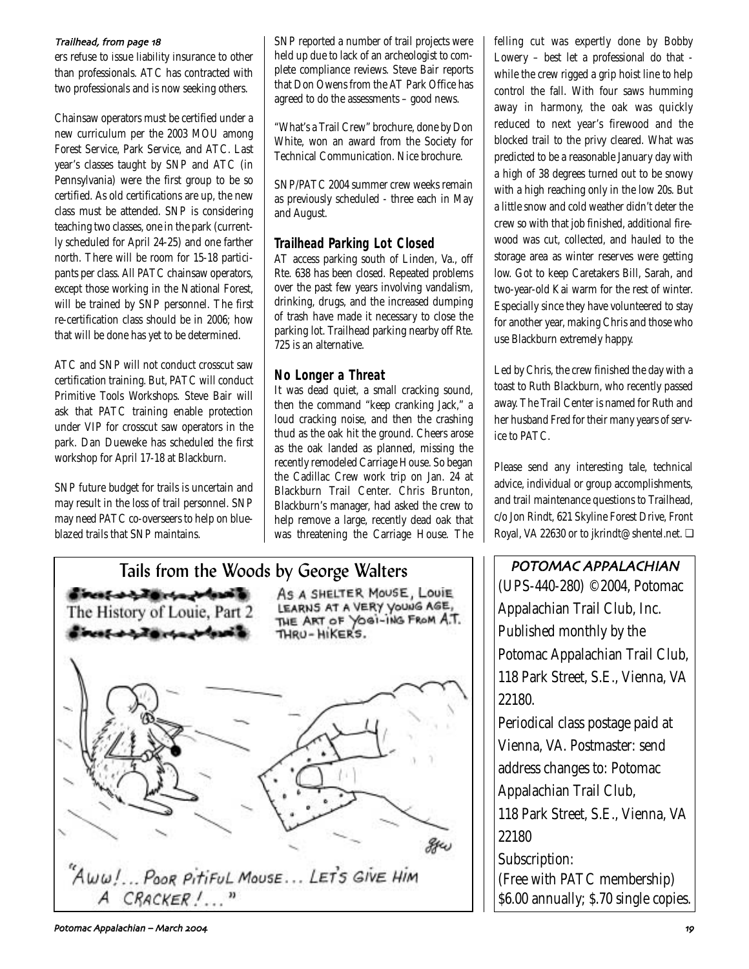### Trailhead, from page 18

ers refuse to issue liability insurance to other than professionals. ATC has contracted with two professionals and is now seeking others.

Chainsaw operators must be certified under a new curriculum per the 2003 MOU among Forest Service, Park Service, and ATC. Last year's classes taught by SNP and ATC (in Pennsylvania) were the first group to be so certified. As old certifications are up, the new class must be attended. SNP is considering teaching two classes, one in the park (currently scheduled for April 24-25) and one farther north. There will be room for 15-18 participants per class. All PATC chainsaw operators, except those working in the National Forest, will be trained by SNP personnel. The first re-certification class should be in 2006; how that will be done has yet to be determined.

ATC and SNP will not conduct crosscut saw certification training. But, PATC will conduct Primitive Tools Workshops. Steve Bair will ask that PATC training enable protection under VIP for crosscut saw operators in the park. Dan Dueweke has scheduled the first workshop for April 17-18 at Blackburn.

SNP future budget for trails is uncertain and may result in the loss of trail personnel. SNP may need PATC co-overseers to help on blueblazed trails that SNP maintains.

SNP reported a number of trail projects were held up due to lack of an archeologist to complete compliance reviews. Steve Bair reports that Don Owens from the AT Park Office has agreed to do the assessments – good news.

"What's a Trail Crew" brochure, done by Don White, won an award from the Society for Technical Communication. Nice brochure.

SNP/PATC 2004 summer crew weeks remain as previously scheduled - three each in May and August.

# **Trailhead Parking Lot Closed**

AT access parking south of Linden, Va., off Rte. 638 has been closed. Repeated problems over the past few years involving vandalism, drinking, drugs, and the increased dumping of trash have made it necessary to close the parking lot. Trailhead parking nearby off Rte. 725 is an alternative.

# **No Longer a Threat**

It was dead quiet, a small cracking sound, then the command "keep cranking Jack," a loud cracking noise, and then the crashing thud as the oak hit the ground. Cheers arose as the oak landed as planned, missing the recently remodeled Carriage House. So began the Cadillac Crew work trip on Jan. 24 at Blackburn Trail Center. Chris Brunton, Blackburn's manager, had asked the crew to help remove a large, recently dead oak that was threatening the Carriage House. The



felling cut was expertly done by Bobby Lowery – best let a professional do that while the crew rigged a grip hoist line to help control the fall. With four saws humming away in harmony, the oak was quickly reduced to next year's firewood and the blocked trail to the privy cleared. What was predicted to be a reasonable January day with a high of 38 degrees turned out to be snowy with a high reaching only in the low 20s. But a little snow and cold weather didn't deter the crew so with that job finished, additional firewood was cut, collected, and hauled to the storage area as winter reserves were getting low. Got to keep Caretakers Bill, Sarah, and two-year-old Kai warm for the rest of winter. Especially since they have volunteered to stay for another year, making Chris and those who use Blackburn extremely happy.

Led by Chris, the crew finished the day with a toast to Ruth Blackburn, who recently passed away. The Trail Center is named for Ruth and her husband Fred for their many years of service to PATC.

Please send any interesting tale, technical advice, individual or group accomplishments, and trail maintenance questions to Trailhead, c/o Jon Rindt, 621 Skyline Forest Drive, Front Royal, VA 22630 or to jkrindt@shentel.net. ❏

POTOMAC APPALACHIAN (UPS-440-280) ©2004, Potomac Appalachian Trail Club, Inc. Published monthly by the Potomac Appalachian Trail Club, 118 Park Street, S.E., Vienna, VA 22180.

Periodical class postage paid at Vienna, VA. Postmaster: send address changes to: Potomac Appalachian Trail Club, 118 Park Street, S.E., Vienna, VA

22180

Subscription: (Free with PATC membership) \$6.00 annually; \$.70 single copies.

Potomac Appalachian – March %